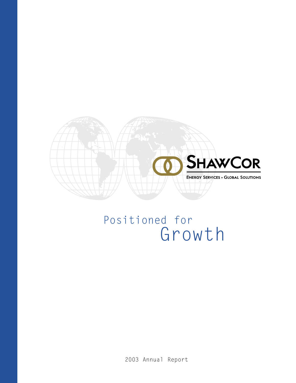

# Positioned for Growth

2003 Annual Report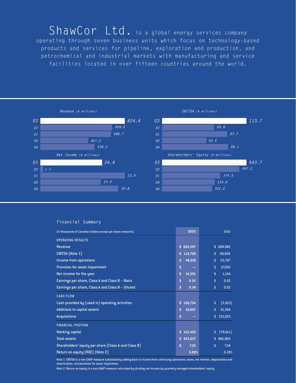ShawCor Ltd. is a global energy services company operating through seven business units which focus on technology-based products and services for pipeline, exploration and production, and petrochemical and industrial markets with manufacturing and service facilities located in over fifteen countries around the world.



### **Financial Summary**

| (In thousands of Canadian Dollars except per share amounts) | 2003          | 2002                    |
|-------------------------------------------------------------|---------------|-------------------------|
| <b>OPERATING RESULTS</b>                                    |               |                         |
| Revenue                                                     | 824,397<br>s. | 698,982<br>$\mathbf{s}$ |
| <b>EBITDA</b> (Note 1)                                      | 113,709<br>\$ | 69,806<br>\$            |
| Income from operations                                      | 48,219<br>\$  | 22,707<br>\$            |
| Provision for asset impairment                              | \$            | 17,000<br>\$            |
| Net income for the year                                     | \$<br>24,351  | \$<br>1,134             |
| Earnings per share, Class A and Class B - Basic             | \$<br>0.35    | \$<br>0.02              |
| Earnings per share, Class A and Class B - Diluted           | \$<br>0.34    | 0.02<br>$\mathsf{s}$    |
| <b>CASH FLOW</b>                                            |               |                         |
| Cash provided by (used in) operating activities             | 150,754<br>\$ | [2,813]<br>$\mathsf{s}$ |
| <b>Additions to capital assets</b>                          | 16,657<br>\$  | 31,594<br>\$            |
| <b>Acquisitions</b>                                         | \$            | 221,025<br>$\mathsf{s}$ |
| <b>FINANCIAL POSITION</b>                                   |               |                         |
| <b>Working capital</b>                                      | 152,420<br>s. | [79,611]<br>\$          |
| <b>Total assets</b>                                         | 825,617<br>\$ | 985,900<br>$\mathbf{s}$ |
| Shareholders' equity per share (Class A and Class B)        | \$<br>7.25    | \$<br>7.24              |
| Return on equity (ROE) (Note 2)                             | 5.00%         | 0.28%                   |

Note 1: EBITDA is a non-GAAP measure calculated by adding back to income from continuing operations, taxes, net interest, depreciation and amortization, and provision for asset impairment.

Note 2: Return on equity is a non-GAAP measure calculated by dividing net income by quarterly averaged shareholders' equity.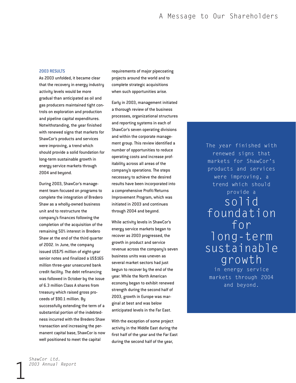#### 2003 RESULTS

As 2003 unfolded, it became clear that the recovery in energy industry activity levels would be more gradual than anticipated as oil and gas producers maintained tight controls on exploration and production and pipeline capital expenditures. Notwithstanding, the year finished with renewed signs that markets for ShawCor's products and services were improving, a trend which should provide a solid foundation for long-term sustainable growth in energy service markets through 2004 and beyond.

During 2003, ShawCor's management team focused on programs to complete the integration of Bredero Shaw as a wholly-owned business unit and to restructure the company's finances following the completion of the acquisition of the remaining 50% interest in Bredero Shaw at the end of the third quarter of 2002. In June, the company issued US\$75 million of eight-year senior notes and finalized a US\$165 million three-year unsecured bank credit facility. The debt refinancing was followed in October by the issue of 6.3 million Class A shares from treasury which raised gross proceeds of \$90.1 million. By successfully extending the term of a substantial portion of the indebtedness incurred with the Bredero Shaw transaction and increasing the permanent capital base, ShawCor is now well positioned to meet the capital

requirements of major pipecoating projects around the world and to complete strategic acquisitions when such opportunities arise.

Early in 2003, management initiated a thorough review of the business processes, organizational structures and reporting systems in each of ShawCor's seven operating divisions and within the corporate management group. This review identified a number of opportunities to reduce operating costs and increase profitability across all areas of the company's operations. The steps necessary to achieve the desired results have been incorporated into a comprehensive Profit/Returns Improvement Program, which was initiated in 2003 and continues through 2004 and beyond.

While activity levels in ShawCor's energy service markets began to recover as 2003 progressed, the growth in product and service revenue across the company's seven business units was uneven as several market sectors had just begun to recover by the end of the year. While the North American economy began to exhibit renewed strength during the second half of 2003, growth in Europe was marginal at best and was below anticipated levels in the Far East.

With the exception of some project activity in the Middle East during the first half of the year and the Far East during the second half of the year,

The year finished with renewed signs that markets for ShawCor's products and services were improving, a trend which should provide a solid foundation for long-term sustainable growth

in energy service markets through 2004 and beyond.

*ShawCor Ltd. 2003 Annual Report*

1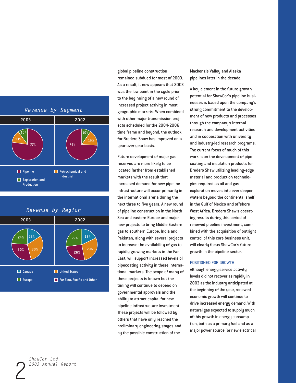



global pipeline construction remained subdued for most of 2003. As a result, it now appears that 2003 was the low point in the cycle prior to the beginning of a new round of increased project activity in most geographic markets. When combined with other major transmission projects scheduled for the 2004-2006 time frame and beyond, the outlook for Bredero Shaw has improved on a year-over-year basis.

Future development of major gas reserves are more likely to be located farther from established markets with the result that increased demand for new pipeline infrastructure will occur primarily in the international arena during the next three to five years. A new round of pipeline construction in the North Sea and eastern Europe and major new projects to bring Middle Eastern gas to southern Europe, India and Pakistan, along with several projects to increase the availability of gas to rapidly growing markets in the Far East, will support increased levels of pipecoating activity in these international markets. The scope of many of these projects is known but the timing will continue to depend on governmental approvals and the ability to attract capital for new pipeline infrastructure investment. These projects will be followed by others that have only reached the preliminary engineering stages and by the possible construction of the

Mackenzie Valley and Alaska pipelines later in the decade.

A key element in the future growth potential for ShawCor's pipeline businesses is based upon the company's strong commitment to the development of new products and processes through the company's internal research and development activities and in cooperation with university and industry-led research programs. The current focus of much of this work is on the development of pipecoating and insulation products for Bredero Shaw utilizing leading-edge material and production technologies required as oil and gas exploration moves into ever deeper waters beyond the continental shelf in the Gulf of Mexico and offshore West Africa. Bredero Shaw's operating results during this period of renewed pipeline investment, combined with the acquisition of outright control of this core business unit, will clearly focus ShawCor's future growth in the pipeline sector.

#### POSITIONED FOR GROWTH

Although energy service activity levels did not recover as rapidly in 2003 as the industry anticipated at the beginning of the year, renewed economic growth will continue to drive increased energy demand. With natural gas expected to supply much of this growth in energy consumption, both as a primary fuel and as a major power source for new electrical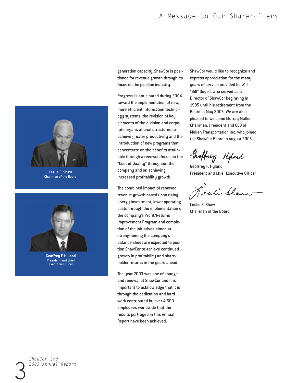# A Message to Our Shareholders



Chairman of the Board



President and Chief Executive Officer

generation capacity, ShawCor is positioned for revenue growth through its focus on the pipeline industry.

Progress is anticipated during 2004 toward the implementation of new, more efficient information technology systems, the revision of key elements of the division and corporate organizational structures to achieve greater productivity and the introduction of new programs that concentrate on the benefits attainable through a renewed focus on the "Cost of Quality" throughout the company and on achieving increased profitability growth.

The combined impact of renewed revenue growth based upon rising energy investment, lower operating costs through the implementation of the company's Profit/Returns Improvement Program and completion of the initiatives aimed at strengthening the company's balance sheet are expected to position ShawCor to achieve continued growth in profitability and shareholder returns in the years ahead.

The year 2003 was one of change and renewal at ShawCor and it is important to acknowledge that it is through the dedication and hard work contributed by over 4,500 employees worldwide that the results portrayed in this Annual Report have been achieved.

ShawCor would like to recognize and express appreciation for the many years of service provided by W.J. "Bill" Deyell, who served as a Director of ShawCor beginning in 1985 until his retirement from the Board in May 2003. We are also pleased to welcome Murray Mullen, Chairman, President and CEO of Mullen Transportation Inc. who joined the ShawCor Board in August 2003.

Geoffrey Hipland

Geoffrey F. Hyland President and Chief Executive Officer

estilban

Leslie E. Shaw Chairman of the Board

*ShawCor Ltd. 2003 Annual Report*

3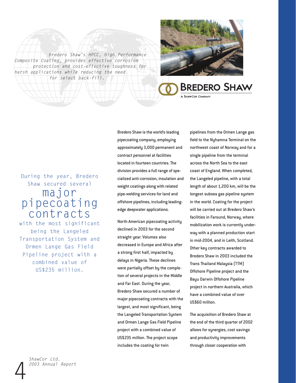*Bredero Shaw's HPCC, High Performance Composite Coating, provides effective corrosion protection and cost-effective toughness for harsh applications while reducing the need for select back-fill.*



# **BREDERO SHAW**

#### A SHAWCOR COMPANY

# During the year, Bredero Shaw secured several major pipecoating contracts

with the most significant being the Langeled Transportation System and Ormen Lange Gas Field Pipeline project with a combined value of US\$235 million.

pipecoating company, employing approximately 3,000 permanent and contract personnel at facilities located in fourteen countries. The division provides a full range of specialized anti-corrosion, insulation and weight coatings along with related pipe-welding services for land and offshore pipelines, including leadingedge deepwater applications.

Bredero Shaw is the world's leading

North American pipecoating activity declined in 2003 for the second straight year. Volumes also decreased in Europe and Africa after a strong first half, impacted by delays in Nigeria. These declines were partially offset by the completion of several projects in the Middle and Far East. During the year, Bredero Shaw secured a number of major pipecoating contracts with the largest, and most significant, being the Langeled Transportation System and Ormen Lange Gas Field Pipeline project with a combined value of US\$235 million. The project scope includes the coating for twin

pipelines from the Ormen Lange gas field to the Nyhamna Terminal on the northwest coast of Norway and for a single pipeline from the terminal across the North Sea to the east coast of England. When completed, the Langeled pipeline, with a total length of about 1,200 km, will be the longest subsea gas pipeline system in the world. Coating for the project will be carried out at Bredero Shaw's facilities in Farsund, Norway, where mobilization work is currently underway with a planned production start in mid-2004, and in Leith, Scotland. Other key contracts awarded to Bredero Shaw in 2003 included the Trans Thailand Malaysia (TTM) Offshore Pipeline project and the Bayu Darwin Offshore Pipeline project in northern Australia, which have a combined value of over US\$60 million.

The acquisition of Bredero Shaw at the end of the third quarter of 2002 allows for synergies, cost savings and productivity improvements through closer cooperation with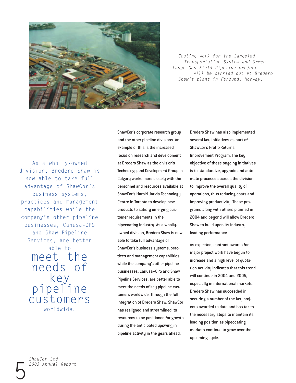

*Coating work for the Langeled Transportation System and Ormen Lange Gas Field Pipeline project will be carried out at Bredero Shaw's plant in Farsund, Norway.*

As a wholly-owned division, Bredero Shaw is now able to take full advantage of ShawCor's business systems, practices and management capabilities while the company's other pipeline businesses, Canusa–CPS and Shaw Pipeline Services, are better

> able to meet the needs of key pipeline customers worldwide.

ShawCor's corporate research group and the other pipeline divisions. An example of this is the increased focus on research and development at Bredero Shaw as the division's Technology and Development Group in Calgary works more closely with the personnel and resources available at ShawCor's Harold Jarvis Technology Centre in Toronto to develop new products to satisfy emerging customer requirements in the pipecoating industry. As a whollyowned division, Bredero Shaw is now able to take full advantage of ShawCor's business systems, practices and management capabilities while the company's other pipeline businesses, Canusa–CPS and Shaw Pipeline Services, are better able to meet the needs of key pipeline customers worldwide. Through the full integration of Bredero Shaw, ShawCor has realigned and streamlined its resources to be positioned for growth during the anticipated upswing in pipeline activity in the years ahead.

Bredero Shaw has also implemented several key initiatives as part of ShawCor's Profit/Returns Improvement Program. The key objective of these ongoing initiatives is to standardize, upgrade and automate processes across the division to improve the overall quality of operations, thus reducing costs and improving productivity. These programs along with others planned in 2004 and beyond will allow Bredero Shaw to build upon its industry leading performance.

As expected, contract awards for major project work have begun to increase and a high level of quotation activity indicates that this trend will continue in 2004 and 2005, especially in international markets. Bredero Shaw has succeeded in securing a number of the key projects awarded to date and has taken the necessary steps to maintain its leading position as pipecoating markets continue to grow over the upcoming cycle.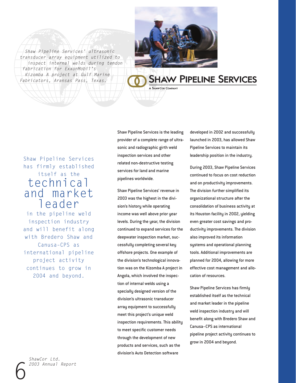*Shaw Pipeline Services' ultrasonic transducer array equipment utilized to inspect internal welds during tendon fabrication for ExxonMobil's Kizomba A project at Gulf Marine Fabricators, Aransas Pass, Texas.*



# **SHAW PIPELINE SERVICES**

# Shaw Pipeline Services has firmly established itself as the technical and market leader

in the pipeline weld inspection industry and will benefit along with Bredero Shaw and Canusa–CPS as international pipeline project activity continues to grow in 2004 and beyond.

*ShawCor Ltd. 2003 Annual Report*

6

Shaw Pipeline Services is the leading provider of a complete range of ultrasonic and radiographic girth weld inspection services and other related non-destructive testing services for land and marine pipelines worldwide.

Shaw Pipeline Services' revenue in 2003 was the highest in the division's history while operating income was well above prior year levels. During the year, the division continued to expand services for the deepwater inspection market, successfully completing several key offshore projects. One example of the division's technological innovation was on the Kizomba A project in Angola, which involved the inspection of internal welds using a specially designed version of the division's ultrasonic transducer array equipment to successfully meet this project's unique weld inspection requirements. This ability to meet specific customer needs through the development of new products and services, such as the division's Auto Detection software

developed in 2002 and successfully launched in 2003, has allowed Shaw Pipeline Services to maintain its leadership position in the industry.

During 2003, Shaw Pipeline Services continued to focus on cost reduction and on productivity improvements. The division further simplified its organizational structure after the consolidation of business activity at its Houston facility in 2002, yielding even greater cost savings and productivity improvements. The division also improved its information systems and operational planning tools. Additional improvements are planned for 2004, allowing for more effective cost management and allocation of resources.

Shaw Pipeline Services has firmly established itself as the technical and market leader in the pipeline weld inspection industry and will benefit along with Bredero Shaw and Canusa–CPS as international pipeline project activity continues to grow in 2004 and beyond.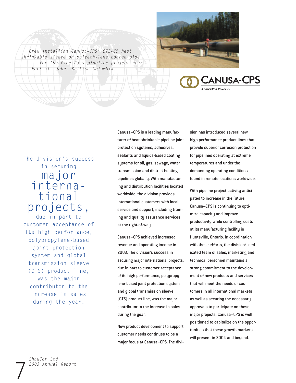





# The division's success in securing major international projects, due in part to

customer acceptance of its high performance, polypropylene-based joint protection system and global transmission sleeve (GTS) product line, was the major contributor to the increase in sales during the year.

Canusa–CPS is a leading manufacturer of heat shrinkable pipeline joint protection systems, adhesives, sealants and liquids-based coating systems for oil, gas, sewage, water transmission and district heating pipelines globally. With manufacturing and distribution facilities located worldwide, the division provides international customers with local service and support, including training and quality assurance services at the right-of-way.

Canusa–CPS achieved increased revenue and operating income in 2003. The division's success in securing major international projects, due in part to customer acceptance of its high performance, polypropylene-based joint protection system and global transmission sleeve (GTS) product line, was the major contributor to the increase in sales during the year.

New product development to support customer needs continues to be a major focus at Canusa–CPS. The divi-

sion has introduced several new high performance product lines that provide superior corrosion protection for pipelines operating at extreme temperatures and under the demanding operating conditions found in remote locations worldwide.

With pipeline project activity anticipated to increase in the future, Canusa–CPS is continuing to optimize capacity and improve productivity while controlling costs at its manufacturing facility in Huntsville, Ontario. In coordination with these efforts, the division's dedicated team of sales, marketing and technical personnel maintains a strong commitment to the development of new products and services that will meet the needs of customers in all international markets as well as securing the necessary approvals to participate on these major projects. Canusa–CPS is well positioned to capitalize on the opportunities that these growth markets will present in 2004 and beyond.

7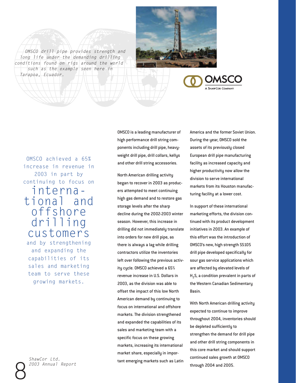*OMSCO drill pipe provides strength and long life under the demanding drilling conditions found on rigs around the world such as the example seen here in Tarapoa, Ecuador.*



OMSCO achieved a 65% increase in revenue in 2003 in part by continuing to focus on international and offshore drilling customers and by strengthening and expanding the capabilities of its sales and marketing team to serve these

growing markets.

Example 2003 Annual Report through 2004 and 2005. *ShawCor Ltd. 2003 Annual Report*

OMSCO is a leading manufacturer of high performance drill string components including drill pipe, heavyweight drill pipe, drill collars, kellys and other drill string accessories.

North American drilling activity began to recover in 2003 as producers attempted to meet continuing high gas demand and to restore gas storage levels after the sharp decline during the 2002-2003 winter season. However, this increase in drilling did not immediately translate into orders for new drill pipe, as there is always a lag while drilling contractors utilize the inventories left over following the previous activity cycle. OMSCO achieved a 65% revenue increase in U.S. Dollars in 2003, as the division was able to offset the impact of this low North American demand by continuing to focus on international and offshore markets. The division strengthened and expanded the capabilities of its sales and marketing team with a specific focus on these growing markets, increasing its international market share, especially in important emerging markets such as Latin

America and the former Soviet Union. During the year, OMSCO sold the assets of its previously closed European drill pipe manufacturing facility as increased capacity and higher productivity now allow the division to serve international markets from its Houston manufacturing facility at a lower cost.

In support of these international marketing efforts, the division continued with its product development initiatives in 2003. An example of this effort was the introduction of OMSCO's new, high strength SS105 drill pipe developed specifically for sour gas service applications which are affected by elevated levels of H<sub>2</sub>S, a condition prevalent in parts of the Western Canadian Sedimentary Basin.

With North American drilling activity expected to continue to improve throughout 2004, inventories should be depleted sufficiently to strengthen the demand for drill pipe and other drill string components in this core market and should support continued sales growth at OMSCO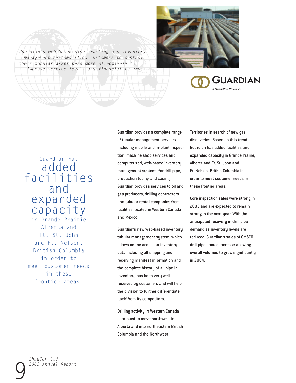



GUARDIAN A SHAWCOR COMPANY

# Guardian has added facilities and expanded capacity in Grande Prairie, Alberta and Ft. St. John and Ft. Nelson, British Columbia

in order to meet customer needs in these frontier areas.

Guardian provides a complete range of tubular management services including mobile and in-plant inspection, machine shop services and computerized, web-based inventory management systems for drill pipe, production tubing and casing. Guardian provides services to oil and gas producers, drilling contractors and tubular rental companies from facilities located in Western Canada and Mexico.

Guardian's new web-based inventory tubular management system, which allows online access to inventory data including all shipping and receiving manifest information and the complete history of all pipe in inventory, has been very well received by customers and will help the division to further differentiate itself from its competitors.

Drilling activity in Western Canada continued to move northwest in Alberta and into northeastern British Columbia and the Northwest

Territories in search of new gas discoveries. Based on this trend, Guardian has added facilities and expanded capacity in Grande Prairie, Alberta and Ft. St. John and Ft. Nelson, British Columbia in order to meet customer needs in these frontier areas.

Core inspection sales were strong in 2003 and are expected to remain strong in the next year. With the anticipated recovery in drill pipe demand as inventory levels are reduced, Guardian's sales of OMSCO drill pipe should increase allowing overall volumes to grow significantly in 2004.

*ShawCor Ltd. 2003 Annual Report*

9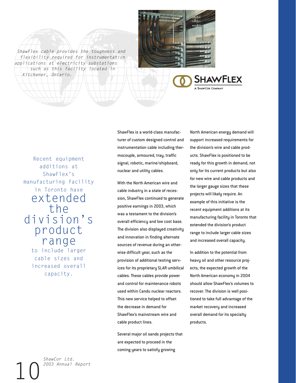*ShawFlex cable provides the toughness and flexibility required for instrumentation applications at electricity substations such as this facility located in Kitchener, Ontario.*



Recent equipment additions at ShawFlex's manufacturing facility in Toronto have extended the division's product range to include larger cable sizes and increased overall capacity.

ShawFlex is a world-class manufacturer of custom designed control and instrumentation cable including thermocouple, armoured, tray, traffic signal, robotic, marine/shipboard, nuclear and utility cables.

With the North American wire and cable industry in a state of recession, ShawFlex continued to generate positive earnings in 2003, which was a testament to the division's overall efficiency and low cost base. The division also displayed creativity and innovation in finding alternate sources of revenue during an otherwise difficult year, such as the provision of additional testing services for its proprietary SLAR umbilical cables. These cables provide power and control for maintenance robots used within Candu nuclear reactors. This new service helped to offset the decrease in demand for ShawFlex's mainstream wire and cable product lines.

Several major oil sands projects that are expected to proceed in the coming years to satisfy growing

North American energy demand will support increased requirements for the division's wire and cable products. ShawFlex is positioned to be ready for this growth in demand, not only for its current products but also for new wire and cable products and the larger gauge sizes that these projects will likely require. An example of this initiative is the recent equipment additions at its manufacturing facility in Toronto that extended the division's product range to include larger cable sizes and increased overall capacity.

**SHAWFLEX** 

In addition to the potential from heavy oil and other resource projects, the expected growth of the North American economy in 2004 should allow ShawFlex's volumes to recover. The division is well positioned to take full advantage of the market recovery and increased overall demand for its specialty products.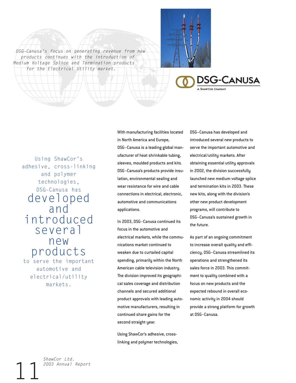*DSG–Canusa's focus on generating revenue from new products continues with the introduction of Medium Voltage Splice and Termination products for the Electrical Utility market.*





Using ShawCor's adhesive, cross-linking and polymer technologies, DSG–Canusa has developed and introduced several new products to serve the important automotive and electrical/utility markets.

With manufacturing facilities located in North America and Europe, DSG–Canusa is a leading global manufacturer of heat shrinkable tubing, sleeves, moulded products and kits. DSG–Canusa's products provide insulation, environmental sealing and wear resistance for wire and cable connections in electrical, electronic, automotive and communications applications.

In 2003, DSG–Canusa continued its focus in the automotive and electrical markets, while the communications market continued to weaken due to curtailed capital spending, primarily within the North American cable television industry. The division improved its geographical sales coverage and distribution channels and secured additional product approvals with leading automotive manufacturers, resulting in continued share gains for the second straight year.

Using ShawCor's adhesive, crosslinking and polymer technologies, DSG–Canusa has developed and introduced several new products to serve the important automotive and electrical/utility markets. After obtaining essential utility approvals in 2002, the division successfully launched new medium voltage splice and termination kits in 2003. These new kits, along with the division's other new product development programs, will contribute to DSG–Canusa's sustained growth in the future.

As part of an ongoing commitment to increase overall quality and efficiency, DSG–Canusa streamlined its operations and strengthened its sales force in 2003. This commitment to quality combined with a focus on new products and the expected rebound in overall economic activity in 2004 should provide a strong platform for growth at DSG–Canusa.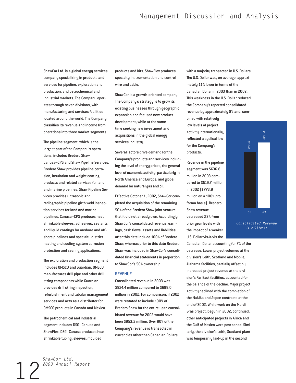ShawCor Ltd. is a global energy services company specializing in products and services for pipeline, exploration and production, and petrochemical and industrial markets. The Company operates through seven divisions, with manufacturing and services facilities located around the world. The Company classifies its revenue and income from operations into three market segments.

The pipeline segment, which is the largest part of the Company's operations, includes Bredero Shaw, Canusa–CPS and Shaw Pipeline Services. Bredero Shaw provides pipeline corrosion, insulation and weight coating products and related services for land and marine pipelines. Shaw Pipeline Services provides ultrasonic and radiographic pipeline girth weld inspection services for land and marine pipelines. Canusa–CPS produces heat shrinkable sleeves, adhesives, sealants and liquid coatings for onshore and offshore pipelines and specialty district heating and cooling system corrosion protection and sealing applications.

The exploration and production segment includes OMSCO and Guardian. OMSCO manufactures drill pipe and other drill string components while Guardian provides drill string inspection, refurbishment and tubular management services and acts as a distributor for OMSCO products in Canada and Mexico.

The petrochemical and industrial segment includes DSG–Canusa and ShawFlex. DSG–Canusa produces heat shrinkable tubing, sleeves, moulded

products and kits. ShawFlex produces specialty instrumentation and control wire and cable.

ShawCor is a growth-oriented company. The Company's strategy is to grow its existing businesses through geographic expansion and focused new product development, while at the same time seeking new investment and acquisitions in the global energy services industry.

Several factors drive demand for the Company's products and services including the level of energy prices, the general level of economic activity, particularly in North America and Europe, and global demand for natural gas and oil.

Effective October 1, 2002, ShawCor completed the acquisition of the remaining 50% of the Bredero Shaw joint venture that it did not already own. Accordingly, ShawCor's consolidated revenue, earnings, cash flows, assets and liabilities after this date include 100% of Bredero Shaw, whereas prior to this date Bredero Shaw was included in ShawCor's consolidated financial statements in proportion to ShawCor's 50% ownership.

#### REVENUE

Consolidated revenue in 2003 was \$824.4 million compared to \$699.0 million in 2002. For comparison, if 2002 were restated to include 100% of Bredero Shaw for the entire year, consolidated revenue for 2002 would have been \$953.2 million. Over 80% of the Company's revenue is transacted in currencies other than Canadian Dollars,

with a majority transacted in U.S. Dollars. The U.S. Dollar was, on average, approximately 11% lower in terms of the Canadian Dollar in 2003 than in 2002. This weakness in the U.S. Dollar reduced the Company's reported consolidated revenue by approximately 8% and, com-

bined with relatively low levels of project activity internationally, reflected a cyclical low for the Company's products.

Revenue in the pipeline segment was \$636.8 million in 2003 compared to \$519.7 million in 2002 (\$773.9 million on a 100% pro forma basis). Bredero Shaw revenue decreased 22% from prior year levels with the impact of a weaker U.S. Dollar vis-à-vis the



*Consolidated Revenue (\$ millions)*

Canadian Dollar accounting for 7% of the decrease. Lower project volumes at the division's Leith, Scotland and Mobile, Alabama facilities, partially offset by increased project revenue at the division's Far East facilities, accounted for the balance of the decline. Major project activity declined with the completion of the Nakika and Aspen contracts at the end of 2002. While work on the Mardi Gras project, begun in 2002, continued, other anticipated projects in Africa and the Gulf of Mexico were postponed. Similarly, the division's Leith, Scotland plant was temporarily laid-up in the second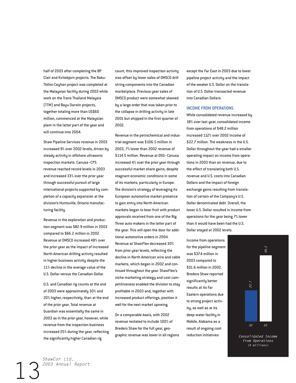half of 2003 after completing the BP Clair and Kvitebjorn projects. The Baku-Tbilisi-Ceyhan project was completed at the Malaysian facility during 2003 while work on the Trans Thailand Malaysia (TTM) and Bayu Darwin projects, together totaling more than US\$60 million, commenced at the Malaysian plant in the latter part of the year and will continue into 2004.

Shaw Pipeline Services revenue in 2003 increased 9% over 2002 levels, driven by steady activity in offshore ultrasonic inspection markets. Canusa–CPS revenue reached record levels in 2003 and increased 33% over the prior year through successful pursuit of large international projects supported by completion of a capacity expansion at the division's Huntsville, Ontario manufacturing facility.

Revenue in the exploration and production segment was \$82.9 million in 2003 compared to \$66.2 million in 2002. Revenue at OMSCO increased 48% over the prior year as the impact of increased North American drilling activity resulted in higher business activity despite the 11% decline in the average value of the U.S. Dollar versus the Canadian Dollar.

U.S. and Canadian rig counts at the end of 2003 were approximately 30% and 20% higher, respectively, than at the end of the prior year. Total revenue at Guardian was essentially the same in 2003 as in the prior year, however, while revenue from the inspection business increased 25% during the year, reflecting the significantly higher Canadian rig

count, this improved inspection activity was offset by lower sales of OMSCO drill string components into the Canadian marketplace. Previous year sales of OMSCO product were somewhat skewed by a large order that was taken prior to the collapse in drilling activity in late 2001 but shipped in the first quarter of 2002.

Revenue in the petrochemical and industrial segment was \$106.5 million in 2003, 7% lower than 2002 revenue of \$114.5 million. Revenue at DSG–Canusa increased 4% over the prior year through successful market share gains, despite stagnant economic conditions in some of its markets, particularly in Europe. The division's strategy of leveraging its European automotive market presence to gain entry into North American markets began to bear fruit with product approvals received from one of the Big Three auto makers in the latter part of the year. This will open the door for additional automotive orders in 2004. Revenue at ShawFlex decreased 30% from prior year levels, reflecting the decline in North American wire and cable markets, which began in 2002 and continued throughout the year. ShawFlex's niche marketing strategy and cost competitiveness enabled the division to stay profitable in 2003 and, together with increased product offerings, position it well for the next market upswing.

On a comparable basis, with 2002 revenue restated to include 100% of Bredero Shaw for the full year, geographic revenue was lower in all regions except the Far East in 2003 due to lower pipeline project activity and the impact of the weaker U.S. Dollar on the translation of U.S. Dollar transacted revenue into Canadian Dollars.

#### INCOME FROM OPERATIONS

While consolidated revenue increased by 18% over last year, consolidated income from operations of \$48.2 million increased 112% over 2002 income of \$22.7 million. The weakness in the U.S. Dollar throughout the year had a smaller operating impact on income from operations in 2003 than on revenue, due to the effect of translating both U.S. revenue and U.S. costs into Canadian Dollars and the impact of foreign exchange gains resulting from translation of certain of the Company's U.S. Dollar denominated debt. Overall, the lower U.S. Dollar resulted in income from operations for the year being 7% lower than it would have been had the U.S. Dollar stayed at 2002 levels.

Income from operations for the pipeline segment was \$37.4 million in 2003 compared to \$31.6 million in 2002. Bredero Shaw reported significantly better results at its Far Eastern operations due to strong project activity, as well as at its deep-water facility in Mobile, Alabama as a result of ongoing cost reduction initiatives



*Consolidated Income From Operations (\$ millions)*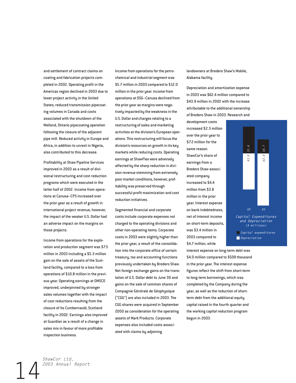and settlement of contract claims on coating and fabrication projects completed in 2002. Operating profit in the Americas region declined in 2003 due to lower project activity in the United States, reduced transmission pipecoating volumes in Canada and costs associated with the shutdown of the Welland, Ontario pipecoating operation following the closure of the adjacent pipe mill. Reduced activity in Europe and Africa, in addition to unrest in Nigeria, also contributed to this decrease.

Profitability at Shaw Pipeline Services improved in 2003 as a result of divisional restructuring and cost reduction programs which were executed in the latter half of 2002. Income from operations at Canusa–CPS increased over the prior year as a result of growth in international project revenue, however, the impact of the weaker U.S. Dollar had an adverse impact on the margins on those projects.

Income from operations for the exploration and production segment was \$7.5 million in 2003 including a \$5.3 million gain on the sale of assets of the Scotland facility, compared to a loss from operations of \$10.8 million in the previous year. Operating earnings at OMSCO improved, underpinned by stronger sales volumes together with the impact of cost reductions resulting from the closure of its Cumbernauld, Scotland facility in 2002. Earnings also improved at Guardian as a result of a change in sales mix in favour of more profitable inspection business.

Income from operations for the petrochemical and industrial segment was \$5.7 million in 2003 compared to \$12.0 million in the prior year. Income from operations at DSG–Canusa declined from the prior year as margins were negatively impacted by the weakness in the U.S. Dollar and charges relating to a restructuring of sales and marketing activities at the division's European operations. This restructuring will focus the division's resources on growth in its key markets while reducing costs. Operating earnings at ShawFlex were adversely affected by the sharp reduction in division revenue stemming from extremely poor market conditions, however, profitability was preserved through successful profit maximization and cost reduction initiatives.

Segmented financial and corporate costs include corporate expenses not charged to the operating divisions and other non-operating items. Corporate costs in 2003 were slightly higher than the prior year, a result of the consolidation into the corporate office of certain treasury, tax and accounting functions previously undertaken by Bredero Shaw. Net foreign exchange gains on the translation of U.S. Dollar debt to June 30 and gains on the sale of common shares of Compagnie Générale de Géophysique ("CGG") are also included in 2003. The CGG shares were acquired in September 2000 as consideration for the operating assets of Mark Products. Corporate expenses also included costs associated with claims by adjoining

landowners at Bredero Shaw's Mobile, Alabama facility.

Depreciation and amortization expense in 2003 was \$62.4 million compared to \$43.9 million in 2002 with the increase attributable to the additional ownership of Bredero Shaw in 2003. Research and

development costs increased \$2.3 million over the prior year to \$7.2 million for the same reason. ShawCor's share of earnings from a Bredero Shaw associated company increased to \$4.4 million from \$3.8 million in the prior year. Interest expense on bank indebtedness, net of interest income on short-term deposits, was \$3.4 million in 2003 compared to \$4.7 million, while



interest expense on long-term debt was \$4.0 million compared to \$509 thousand in the prior year. The interest expense figures reflect the shift from short-term to long-term borrowings, which was completed by the Company during the year, as well as the reduction of shortterm debt from the additional equity capital raised in the fourth quarter and the working capital reduction program begun in 2003.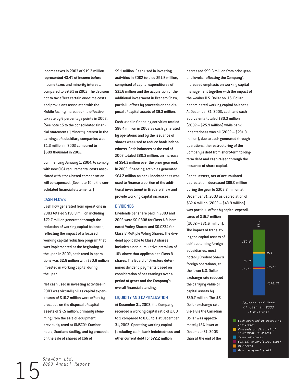Income taxes in 2003 of \$19.7 million represented 43.4% of income before income taxes and minority interest, compared to 59.6% in 2002. The decision not to tax effect certain one-time costs and provisions associated with the Mobile facility increased the effective tax rate by 6 percentage points in 2003. (See note 15 to the consolidated financial statements.) Minority interest in the earnings of subsidiary companies was \$1.3 million in 2003 compared to \$609 thousand in 2002.

Commencing January 1, 2004, to comply with new CICA requirements, costs associated with stock-based compensation will be expensed. (See note 10 to the consolidated financial statements.)

### CASH FLOWS

Cash flow generated from operations in 2003 totaled \$150.8 million including \$72.7 million generated through the reduction of working capital balances, reflecting the impact of a focused working capital reduction program that was implemented at the beginning of the year. In 2002, cash used in operations was \$2.8 million with \$30.8 million invested in working capital during the year.

Net cash used in investing activities in 2003 was virtually nil as capital expenditures of \$16.7 million were offset by proceeds on the disposal of capital assets of \$7.5 million, primarily stemming from the sale of equipment previously used at OMSCO's Cumbernauld, Scotland facility, and by proceeds on the sale of shares of CGG of

\$9.1 million. Cash used in investing activities in 2002 totaled \$91.5 million, comprised of capital expenditures of \$31.6 million and the acquisition of the additional investment in Bredero Shaw, partially offset by proceeds on the disposal of capital assets of \$9.3 million.

Cash used in financing activities totaled \$96.4 million in 2003 as cash generated by operations and by the issuance of shares was used to reduce bank indebtedness. Cash balances at the end of 2003 totaled \$80.3 million, an increase of \$54.3 million over the prior year end. In 2002, financing activities generated \$64.7 million as bank indebtedness was used to finance a portion of the additional investment in Bredero Shaw and provide working capital increases.

#### DIVIDENDS

Dividends per share paid in 2003 and 2002 were \$0.0808 for Class A Subordinated Voting Shares and \$0.0734 for Class B Multiple Voting Shares. The dividend applicable to Class A shares includes a non-cumulative premium of 10% above that applicable to Class B shares. The Board of Directors determines dividend payments based on consideration of net earnings over a period of years and the Company's overall financial standing.

#### LIQUIDITY AND CAPITALIZATION

At December 31, 2003, the Company recorded a working capital ratio of 2.00 to 1 compared to 0.82 to 1 at December 31, 2002. Operating working capital (excluding cash, bank indebtedness and other current debt) of \$72.2 million

decreased \$99.6 million from prior yearend levels, reflecting the Company's increased emphasis on working capital management together with the impact of the weaker U.S. Dollar on U.S. Dollar denominated working capital balances. At December 31, 2003, cash and cash equivalents totaled \$80.3 million (2002 – \$25.9 million) while bank indebtedness was nil (2002 – \$231.3 million), due to cash generated through operations, the restructuring of the Company's debt from short-term to longterm debt and cash raised through the issuance of share capital.

Capital assets, net of accumulated depreciation, decreased \$89.0 million during the year to \$305.8 million at December 31, 2003 as depreciation of \$62.4 million (2002 – \$43.9 million) was partially offset by capital expendi-

tures of \$16.7 million (2002 – \$31.6 million). The impact of translating the capital assets of self-sustaining foreign subsidiaries, most notably Bredero Shaw's foreign operations, at the lower U.S. Dollar exchange rate reduced the carrying value of capital assets by \$39.7 million. The U.S. Dollar exchange rate vis-à-vis the Canadian Dollar was approximately 18% lower at December 31, 2003 than at the end of the



*activities*

- *Proceeds on disposal of investment in shares* ■ *Issue of shares*
- *Capital expenditures (net)* ■ *Dividends*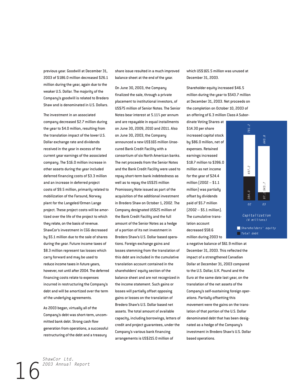previous year. Goodwill at December 31, 2003 of \$186.0 million decreased \$26.1 million during the year, again due to the weaker U.S. Dollar. The majority of the Company's goodwill is related to Bredero Shaw and is denominated in U.S. Dollars.

The investment in an associated company decreased \$2.7 million during the year to \$4.0 million, resulting from the translation impact of the lower U.S. Dollar exchange rate and dividends received in the year in excess of the current year earnings of the associated company. The \$16.0 million increase in other assets during the year included deferred financing costs of \$3.3 million and an increase in deferred project costs of \$9.5 million, primarily related to mobilization of the Farsund, Norway plant for the Langeled/Ormen Lange project. These project costs will be amortized over the life of the project to which they relate, on the basis of revenue. ShawCor's investment in CGG decreased by \$5.1 million due to the sale of shares during the year. Future income taxes of \$8.3 million represent tax losses which carry forward and may be used to reduce income taxes in future years, however, not until after 2004. The deferred financing costs relate to expenses incurred in restructuring the Company's debt and will be amortized over the term of the underlying agreements.

As 2003 began, virtually all of the Company's debt was short-term, uncommitted bank debt. Strong cash flow generation from operations, a successful restructuring of the debt and a treasury

share issue resulted in a much improved balance sheet at the end of the year.

On June 30, 2003, the Company finalized the sale, through a private placement to institutional investors, of US\$75 million of Senior Notes. The Senior Notes bear interest at 5.11% per annum and are repayable in equal installments on June 30, 2009, 2010 and 2011. Also on June 30, 2003, the Company announced a new US\$165 million Unsecured Bank Credit Facility with a consortium of six North American banks. The net proceeds from the Senior Notes and the Bank Credit Facility were used to repay short-term bank indebtedness as well as to repay the US\$25 million Promissory Note issued as part of the acquisition of the additional investment in Bredero Shaw on October 1, 2002. The Company designated US\$25 million of the Bank Credit Facility and the full amount of the Senior Notes as a hedge of a portion of its net investment in Bredero Shaw's U.S. Dollar based operations. Foreign exchange gains and losses stemming from the translation of this debt are included in the cumulative translation account contained in the shareholders' equity section of the balance sheet and are not recognized in the income statement. Such gains or losses will partially offset opposing gains or losses on the translation of Bredero Shaw's U.S. Dollar based net assets. The total amount of available capacity, including borrowings, letters of credit and project guarantees, under the Company's various bank financing arrangements is US\$215.0 million of

which US\$165.5 million was unused at December 31, 2003.

Shareholder equity increased \$46.5 million during the year to \$543.7 million at December 31, 2003. Net proceeds on the completion on October 10, 2003 of an offering of 6.3 million Class A Subor-

dinate Voting Shares at \$14.30 per share increased capital stock by \$86.0 million, net of expenses. Retained earnings increased \$18.7 million to \$396.0 million as net income for the year of \$24.4 million (2002 – \$1.1 million) was partially offset by dividends paid of \$5.7 million (2002 – \$5.1 million). The cumulative translation account decreased \$58.6 million during 2003 to



a negative balance of \$61.9 million at December 31, 2003. This reflected the impact of a strengthened Canadian Dollar at December 31, 2003 compared to the U.S. Dollar, U.K. Pound and the Euro at the same date last year, on the translation of the net assets of the Company's self-sustaining foreign operations. Partially offsetting this movement were the gains on the translation of that portion of the U.S. Dollar denominated debt that has been designated as a hedge of the Company's investment in Bredero Shaw's U.S. Dollar based operations.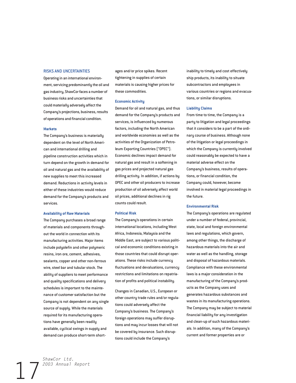#### RISKS AND UNCERTAINTIES

Operating in an international environment, servicing predominantly the oil and gas industry, ShawCor faces a number of business risks and uncertainties that could materially adversely affect the Company's projections, business, results of operations and financial condition.

#### **Markets**

The Company's business is materially dependent on the level of North American and international drilling and pipeline construction activities which in turn depend on the growth in demand for oil and natural gas and the availability of new supplies to meet this increased demand. Reductions in activity levels in either of these industries would reduce demand for the Company's products and services.

#### **Availability of Raw Materials**

The Company purchases a broad range of materials and components throughout the world in connection with its manufacturing activities. Major items include polyolefin and other polymeric resins, iron ore, cement, adhesives, sealants, copper and other non-ferrous wire, steel bar and tubular stock. The ability of suppliers to meet performance and quality specifications and delivery schedules is important to the maintenance of customer satisfaction but the Company is not dependent on any single source of supply. While the materials required for its manufacturing operations have generally been readily available, cyclical swings in supply and demand can produce short-term shortages and/or price spikes. Recent tightening in supplies of certain materials is causing higher prices for these commodities.

#### **Economic Activity**

Demand for oil and natural gas, and thus demand for the Company's products and services, is influenced by numerous factors, including the North American and worldwide economies as well as the activities of the Organization of Petroleum Exporting Countries ("OPEC"). Economic declines impact demand for natural gas and result in a softening in gas prices and projected natural gas drilling activity. In addition, if actions by OPEC and other oil producers to increase production of oil adversely affect world oil prices, additional declines in rig counts could result.

#### **Political Risk**

The Company's operations in certain international locations, including West Africa, Indonesia, Malaysia and the Middle East, are subject to various political and economic conditions existing in those countries that could disrupt operations. These risks include currency fluctuations and devaluations, currency restrictions and limitations on repatriation of profits and political instability.

Changes in Canadian, U.S., European or other country trade rules and/or regulations could adversely affect the Company's business. The Company's foreign operations may suffer disruptions and may incur losses that will not be covered by insurance. Such disruptions could include the Company's

inability to timely and cost effectively ship products, its inability to situate subcontractors and employees in various countries or regions and evacuations, or similar disruptions.

#### **Liability Claims**

From time to time, the Company is a party to litigation and legal proceedings that it considers to be a part of the ordinary course of business. Although none of the litigation or legal proceedings in which the Company is currently involved could reasonably be expected to have a material adverse effect on the Company's business, results of operations, or financial condition, the Company could, however, become involved in material legal proceedings in the future.

#### **Environmental Risk**

The Company's operations are regulated under a number of federal, provincial, state, local and foreign environmental laws and regulations, which govern, among other things, the discharge of hazardous materials into the air and water as well as the handling, storage and disposal of hazardous materials. Compliance with these environmental laws is a major consideration in the manufacturing of the Company's products as the Company uses and generates hazardous substances and wastes in its manufacturing operations. The Company may be subject to material financial liability for any investigation and clean-up of such hazardous materials. In addition, many of the Company's current and former properties are or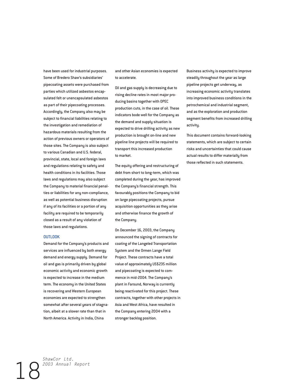have been used for industrial purposes. Some of Bredero Shaw's subsidiaries' pipecoating assets were purchased from parties which utilized asbestos encapsulated felt or unencapsulated asbestos as part of their pipecoating processes. Accordingly, the Company also may be subject to financial liabilities relating to the investigation and remediation of hazardous materials resulting from the action of previous owners or operators of those sites. The Company is also subject to various Canadian and U.S. federal, provincial, state, local and foreign laws and regulations relating to safety and health conditions in its facilities. Those laws and regulations may also subject the Company to material financial penalties or liabilities for any non-compliance, as well as potential business disruption if any of its facilities or a portion of any facility are required to be temporarily closed as a result of any violation of those laws and regulations.

#### **OUTLOOK**

Demand for the Company's products and services are influenced by both energy demand and energy supply. Demand for oil and gas is primarily driven by global economic activity and economic growth is expected to increase in the medium term. The economy in the United States is recovering and Western European economies are expected to strengthen somewhat after several years of stagnation, albeit at a slower rate than that in North America. Activity in India, China

and other Asian economies is expected to accelerate.

Oil and gas supply is decreasing due to rising decline rates in most major producing basins together with OPEC production cuts, in the case of oil. These indicators bode well for the Company as the demand and supply situation is expected to drive drilling activity as new production is brought on-line and new pipeline line projects will be required to transport this increased production to market.

The equity offering and restructuring of debt from short to long-term, which was completed during the year, has improved the Company's financial strength. This favourably positions the Company to bid on large pipecoating projects, pursue acquisition opportunities as they arise and otherwise finance the growth of the Company.

On December 16, 2003, the Company announced the signing of contracts for coating of the Langeled Transportation System and the Ormen Lange Field Project. These contracts have a total value of approximately US\$235 million and pipecoating is expected to commence in mid-2004. The Company's plant in Farsund, Norway is currently being reactivated for this project. These contracts, together with other projects in Asia and West Africa, have resulted in the Company entering 2004 with a stronger backlog position.

Business activity is expected to improve steadily throughout the year as large pipeline projects get underway, as increasing economic activity translates into improved business conditions in the petrochemical and industrial segment, and as the exploration and production segment benefits from increased drilling activity.

This document contains forward-looking statements, which are subject to certain risks and uncertainties that could cause actual results to differ materially from those reflected in such statements.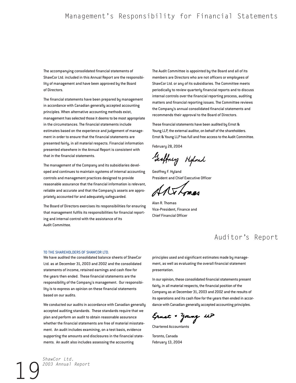The accompanying consolidated financial statements of ShawCor Ltd. included in this Annual Report are the responsibility of management and have been approved by the Board of Directors.

The financial statements have been prepared by management in accordance with Canadian generally accepted accounting principles. When alternative accounting methods exist, management has selected those it deems to be most appropriate in the circumstances. The financial statements include estimates based on the experience and judgement of management in order to ensure that the financial statements are presented fairly, in all material respects. Financial information presented elsewhere in the Annual Report is consistent with that in the financial statements.

The management of the Company and its subsidiaries developed and continues to maintain systems of internal accounting controls and management practices designed to provide reasonable assurance that the financial information is relevant, reliable and accurate and that the Company's assets are appropriately accounted for and adequately safeguarded.

The Board of Directors exercises its responsibilities for ensuring that management fulfils its responsibilities for financial reporting and internal control with the assistance of its Audit Committee.

The Audit Committee is appointed by the Board and all of its members are Directors who are not officers or employees of ShawCor Ltd. or any of its subsidiaries. The Committee meets periodically to review quarterly financial reports and to discuss internal controls over the financial reporting process, auditing matters and financial reporting issues. The Committee reviews the Company's annual consolidated financial statements and recommends their approval to the Board of Directors.

These financial statements have been audited by Ernst & Young LLP, the external auditor, on behalf of the shareholders. Ernst & Young LLP has full and free access to the Audit Committee.

February 28, 2004

Geoffney Highard

Geoffrey F. Hyland President and Chief Executive Officer

Alan R. Thomas Vice-President, Finance and Chief Financial Officer

# Auditor's Report

#### TO THE SHAREHOLDERS OF SHAWCOR LTD.

We have audited the consolidated balance sheets of ShawCor Ltd. as at December 31, 2003 and 2002 and the consolidated statements of income, retained earnings and cash flow for the years then ended. These financial statements are the responsibility of the Company's management. Our responsibility is to express an opinion on these financial statements based on our audits.

We conducted our audits in accordance with Canadian generally accepted auditing standards. These standards require that we plan and perform an audit to obtain reasonable assurance whether the financial statements are free of material misstatement. An audit includes examining, on a test basis, evidence supporting the amounts and disclosures in the financial statements. An audit also includes assessing the accounting

principles used and significant estimates made by management, as well as evaluating the overall financial statement presentation.

In our opinion, these consolidated financial statements present fairly, in all material respects, the financial position of the Company as at December 31, 2003 and 2002 and the results of its operations and its cash flow for the years then ended in accordance with Canadian generally accepted accounting principles.

Ernst + Young UP

Chartered Accountants

Toronto, Canada February 13, 2004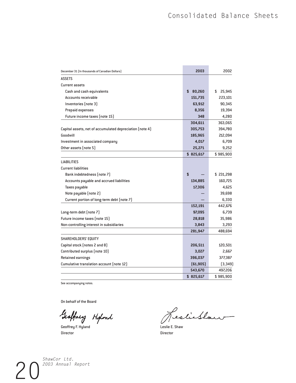| December 31 (In thousands of Canadian Dollars)           | 2003         | 2002         |
|----------------------------------------------------------|--------------|--------------|
| <b>ASSETS</b>                                            |              |              |
| <b>Current assets</b>                                    |              |              |
| Cash and cash equivalents                                | 80,260<br>\$ | \$<br>25,945 |
| Accounts receivable                                      | 151,735      | 223,101      |
| Inventories (note 3)                                     | 63,912       | 90,345       |
| Prepaid expenses                                         | 8,356        | 19,394       |
| Future income taxes (note 15)                            | 348          | 4,280        |
|                                                          | 304,611      | 363,065      |
| Capital assets, net of accumulated depreciation (note 4) | 305,753      | 394,780      |
| Goodwill                                                 | 185,965      | 212,094      |
| Investment in associated company                         | 4,017        | 6,709        |
| Other assets (note 5)                                    | 25,271       | 9,252        |
|                                                          | \$825,617    | \$985,900    |
| <b>LIABILITIES</b>                                       |              |              |
| <b>Current liabilities</b>                               |              |              |
| Bank indebtedness (note 7)                               | \$           | \$231,298    |
| Accounts payable and accrued liabilities                 | 134,885      | 160,725      |
| Taxes payable                                            | 17,306       | 4,625        |
| Note payable (note 2)                                    |              | 39,698       |
| Current portion of long-term debt (note 7)               |              | 6,330        |
|                                                          | 152,191      | 442,676      |
| Long-term debt (note 7)                                  | 97,095       | 6,739        |
| Future income taxes (note 15)                            | 28,818       | 35,986       |
| Non-controlling interest in subsidiaries                 | 3,843        | 3,293        |
|                                                          | 281,947      | 488,694      |
| SHAREHOLDERS' EQUITY                                     |              |              |
| Capital stock (notes 2 and 8)                            | 206,511      | 120,501      |
| Contributed surplus (note 10)                            | 3,027        | 2,667        |
| <b>Retained earnings</b>                                 | 396,037      | 377,387      |
| Cumulative translation account (note 12)                 | [61, 905]    | (3, 349)     |
|                                                          | 543,670      | 497,206      |
|                                                          | \$825,617    | \$985,900    |

See accompanying notes.

On behalf of the Board

Geoffney Hyland Jes

Director Director

Cestichtown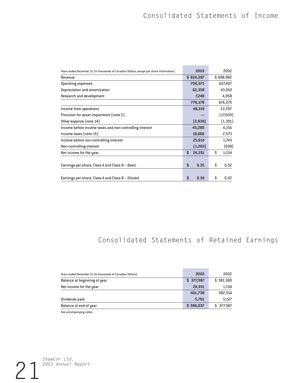a.

| Years ended December 31 [In thousands of Canadian Dollars, except per share information] |    | 2003      | 2002        |
|------------------------------------------------------------------------------------------|----|-----------|-------------|
| Revenue                                                                                  |    | \$824,397 | \$698,982   |
| Operating expenses                                                                       |    | 706,571   | 627,407     |
| Depreciation and amortization                                                            |    | 62,359    | 43,910      |
| Research and development                                                                 |    | 7,248     | 4,958       |
|                                                                                          |    | 776,178   | 676,275     |
| Income from operations                                                                   |    | 48,219    | 22,707      |
| Provision for asset impairment (note 5)                                                  |    |           | (17,000)    |
| Other expense (note 14)                                                                  |    | [2,939]   | (1, 391)    |
| Income before income taxes and non-controlling interest                                  |    | 45,280    | 4,316       |
| $income$ taxes $[note 15]$                                                               |    | 19,666    | 2,573       |
| Income before non-controlling interest                                                   |    | 25,614    | 1,743       |
| Non-controlling interest                                                                 |    | [1,263]   | (609)       |
| Net income for the year                                                                  | \$ | 24,351    | \$<br>1,134 |
|                                                                                          |    |           |             |
| Earnings per share, Class A and Class B - Basic                                          | \$ | 0.35      | \$<br>0.02  |
|                                                                                          |    |           |             |
| Earnings per share, Class A and Class B - Diluted                                        | S  | 0.34      | \$<br>0.02  |

# Consolidated Statements of Retained Earnings

| Years ended December 31 (In thousands of Canadian Dollars) | 2003      | 2002      |
|------------------------------------------------------------|-----------|-----------|
| Balance at beginning of year                               | \$377,387 | \$381,380 |
| Net income for the year                                    | 24,351    | 1,134     |
|                                                            | 401,738   | 382,514   |
| Dividends paid                                             | 5.701     | 5,127     |
| Balance at end of year                                     | \$396,037 | \$377,387 |

See accompanying notes.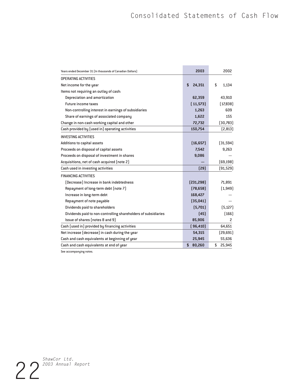| Years ended December 31 (In thousands of Canadian Dollars)     | 2003         | 2002          |
|----------------------------------------------------------------|--------------|---------------|
| <b>OPERATING ACTIVITIES</b>                                    |              |               |
| Net income for the year                                        | 24,351<br>\$ | S<br>1.134    |
|                                                                |              |               |
| Items not requiring an outlay of cash:                         | 62,359       | 43,910        |
| Depreciation and amortization                                  |              |               |
| <b>Future income taxes</b>                                     | [11,573]     | (17,838)      |
| Non-controlling interest in earnings of subsidiaries           | 1,263        | 609           |
| Share of earnings of associated company                        | 1.622        | 155           |
| Change in non-cash working capital and other                   | 72,732       | (30,783)      |
| Cash provided by (used in) operating activities                | 150,754      | (2, 813)      |
| <b>INVESTING ACTIVITIES</b>                                    |              |               |
| Additions to capital assets                                    | (16, 657)    | (31, 594)     |
| Proceeds on disposal of capital assets                         | 7,542        | 9,263         |
| Proceeds on disposal of investment in shares                   | 9,086        |               |
| Acquisitions, net of cash acquired (note 2)                    |              | (69, 198)     |
| Cash used in investing activities                              | [29]         | [91, 529]     |
| <b>FINANCING ACTIVITIES</b>                                    |              |               |
| (Decrease) Increase in bank indebtedness                       | [231, 298]   | 71,891        |
| Repayment of long-term debt (note 7)                           | (78, 658)    | [1, 949]      |
| Increase in long-term debt                                     | 168,427      |               |
| Repayment of note payable                                      | (35,041)     |               |
| Dividends paid to shareholders                                 | (5,701)      | [5, 127]      |
| Dividends paid to non-controlling shareholders of subsidiaries | [45]         | [166]         |
| Issue of shares (notes 8 and 9)                                | 85,906       | $\mathcal{P}$ |
| Cash (used in) provided by financing activities                | (96, 410)    | 64,651        |
| Net increase (decrease) in cash during the year                | 54,315       | [29,691]      |
| Cash and cash equivalents at beginning of year                 | 25,945       | 55,636        |
| Cash and cash equivalents at end of year                       | \$<br>80,260 | \$<br>25,945  |

See accompanying notes.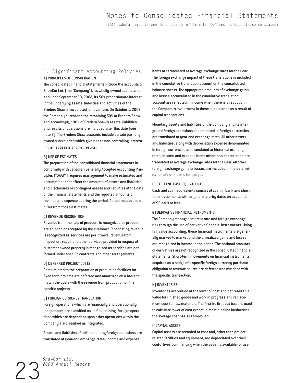(All tabular amounts are in thousands of Canadian Dollars, unless otherwise stated)

# 1. Significant Accounting Policies A) PRINCIPLES OF CONSOLIDATION

The consolidated financial statements include the accounts of ShawCor Ltd. (the "Company"), its wholly-owned subsidiaries and up to September 30, 2002, its 50% proportionate interest in the underlying assets, liabilities and activities of the Bredero Shaw incorporated joint venture. On October 1, 2002, the Company purchased the remaining 50% of Bredero Shaw and accordingly, 100% of Bredero Shaw's assets, liabilities and results of operations are included after this date (see note 2). The Bredero Shaw accounts include certain partiallyowned subsidiaries which give rise to non-controlling interest in the net assets and net results.

#### B) USE OF ESTIMATES

The preparation of the consolidated financial statements in conformity with Canadian Generally Accepted Accounting Principles ("GAAP") requires management to make estimates and assumptions that affect the amounts of assets and liabilities and disclosures of contingent assets and liabilities at the date of the financial statements and the reported amounts of revenue and expenses during the period. Actual results could differ from those estimates.

#### C) REVENUE RECOGNITION

Revenue from the sale of products is recognized as products are shipped or accepted by the customer. Pipecoating revenue is recognized as services are performed. Revenue from inspection, repair and other services provided in respect of customer-owned property is recognized as services are performed under specific contracts and other arrangements.

#### D) DEFERRED PROJECT COSTS

Costs related to the preparation of production facilities for fixed term projects are deferred and amortized on a basis to match the costs with the revenue from production on the specific projects.

#### E) FOREIGN CURRENCY TRANSLATION

Foreign operations which are financially and operationally independent are classified as self-sustaining. Foreign operations which are dependent upon other operations within the Company are classified as integrated.

Assets and liabilities of self-sustaining foreign operations are translated at year-end exchange rates. Income and expense

items are translated at average exchange rates for the year. The foreign exchange impact of these translations is included in the cumulative translation account on the consolidated balance sheets. The appropriate amounts of exchange gains and losses accumulated in the cumulative translation account are reflected in income when there is a reduction in the Company's investment in these subsidiaries as a result of capital transactions.

Monetary assets and liabilities of the Company and its integrated foreign operations denominated in foreign currencies are translated at year-end exchange rates. All other assets and liabilities, along with depreciation expense denominated in foreign currencies are translated at historical exchange rates. Income and expense items other than depreciation are translated at average exchange rates for the year. All other foreign exchange gains or losses are included in the determination of net income for the year.

#### F) CASH AND CASH EQUIVALENTS

Cash and cash equivalents consist of cash in bank and shortterm investments with original maturity dates on acquisition of 90 days or less.

#### G) DERIVATIVE FINANCIAL INSTRUMENTS

The Company manages interest rate and foreign exchange risk through the use of derivative financial instruments. Using fair value accounting, these financial instruments are generally marked to market and the unrealized gains and losses are recognized in income in the period. The notional amounts of derivatives are not recognized in the consolidated financial statements. Short-term movements on financial instruments acquired as a hedge of a specific foreign currency purchase obligation or revenue source are deferred and matched with the specific transaction.

#### H) INVENTORIES

Inventories are valued at the lower of cost and net realizable value for finished goods and work in progress and replacement cost for raw materials. The first-in, first-out basis is used to calculate lower of cost except in most pipeline businesses the average cost basis is employed.

#### I) CAPITAL ASSETS

Capital assets are recorded at cost and, other than projectrelated facilities and equipment, are depreciated over their useful lives commencing when the asset is available for use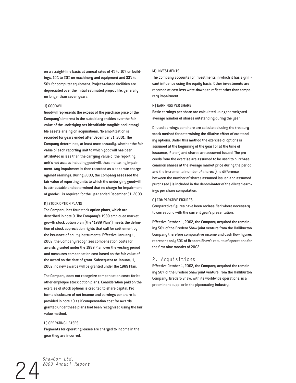on a straight-line basis at annual rates of 4% to 10% on buildings, 10% to 20% on machinery and equipment and 33% to 50% for computer equipment. Project-related facilities are depreciated over the initial estimated project life, generally no longer than seven years.

#### J) GOODWILL

Goodwill represents the excess of the purchase price of the Company's interest in the subsidiary entities over the fair value of the underlying net identifiable tangible and intangible assets arising on acquisitions. No amortization is recorded for years ended after December 31, 2001. The Company determines, at least once annually, whether the fair value of each reporting unit to which goodwill has been attributed is less than the carrying value of the reporting unit's net assets including goodwill, thus indicating impairment. Any impairment is then recorded as a separate charge against earnings. During 2003, the Company assessed the fair value of reporting units to which the underlying goodwill is attributable and determined that no charge for impairment of goodwill is required for the year ended December 31, 2003.

#### K) STOCK OPTION PLANS

The Company has four stock option plans, which are described in note 9. The Company's 1989 employee market growth stock option plan (the "1989 Plan") meets the definition of stock appreciation rights that call for settlement by the issuance of equity instruments. Effective January 1, 2002, the Company recognizes compensation costs for awards granted under the 1989 Plan over the vesting period and measures compensation cost based on the fair value of the award on the date of grant. Subsequent to January 1, 2002, no new awards will be granted under the 1989 Plan.

The Company does not recognize compensation costs for its other employee stock option plans. Consideration paid on the exercise of stock options is credited to share capital. Pro forma disclosure of net income and earnings per share is provided in note 10 as if compensation cost for awards granted under these plans had been recognized using the fair value method.

#### L) OPERATING LEASES

Payments for operating leases are charged to income in the year they are incurred.

#### M) INVESTMENTS

The Company accounts for investments in which it has significant influence using the equity basis. Other investments are recorded at cost less write-downs to reflect other than temporary impairment.

#### N) EARNINGS PER SHARE

Basic earnings per share are calculated using the weighted average number of shares outstanding during the year.

Diluted earnings per share are calculated using the treasury stock method for determining the dilutive effect of outstanding options. Under this method the exercise of options is assumed at the beginning of the year (or at the time of issuance, if later) and shares are assumed issued. The proceeds from the exercise are assumed to be used to purchase common shares at the average market price during the period and the incremental number of shares (the difference between the number of shares assumed issued and assumed purchased) is included in the denominator of the diluted earnings per share computation.

#### O) COMPARATIVE FIGURES

Comparative figures have been reclassified where necessary to correspond with the current year's presentation.

Effective October 1, 2002, the Company acquired the remaining 50% of the Bredero Shaw joint venture from the Halliburton Company therefore comparative income and cash flow figures represent only 50% of Bredero Shaw's results of operations for the first nine months of 2002.

### 2. Acquisitions

Effective October 1, 2002, the Company acquired the remaining 50% of the Bredero Shaw joint venture from the Halliburton Company. Bredero Shaw, with its worldwide operations, is a preeminent supplier in the pipecoating industry.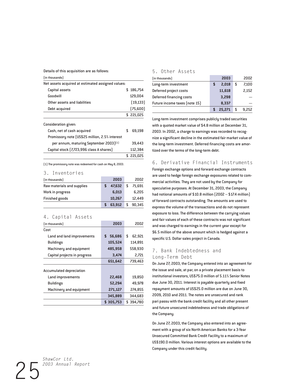Details of this acquisition are as follows:

| Details of this acquisition are as follows:        |   |            |
|----------------------------------------------------|---|------------|
| [in thousands]                                     |   |            |
| Net assets acquired at estimated assigned values:  |   |            |
| Capital assets                                     |   | \$186,754  |
| Goodwill                                           |   | 129,004    |
| Other assets and liabilities                       |   | (19, 133)  |
| Debt acquired                                      |   | (75,600)   |
|                                                    |   | \$221,025  |
| Consideration given:                               |   |            |
| Cash, net of cash acquired                         | S | 69,198     |
| Promissory note (US\$25 million, 2.5% interest     |   |            |
| per annum, maturing September 2003) <sup>(1)</sup> |   | 39.443     |
| Capital stock [7,723,996 class A shares]           |   | 112,384    |
|                                                    |   | \$ 221,025 |

(1) The promissory note was redeemed for cash on May 8, 2003.

## 3. Inventories

| (in thousands)             | 2003   |    | 2002   |
|----------------------------|--------|----|--------|
| Raw materials and supplies | 47.632 | -S | 71,691 |
| Work in progress           | 6.013  |    | 6,205  |
| Finished goods             | 10,267 |    | 12.449 |
|                            | 63.912 |    | 90.345 |

# 4. Capital Assets

| (in thousands)                  | 2003        | 2002         |
|---------------------------------|-------------|--------------|
| Cost                            |             |              |
| Land and land improvements      | 56.686<br>S | \$<br>62,921 |
| <b>Buildings</b>                | 105.524     | 114,891      |
| Machinery and equipment         | 485,958     | 558,930      |
| Capital projects in progress    | 3.474       | 2,721        |
|                                 | 651,642     | 739,463      |
| <b>Accumulated depreciation</b> |             |              |
| Land improvements               | 22,468      | 19,850       |
| <b>Buildings</b>                | 52.294      | 49.978       |
| Machinery and equipment         | 271,127     | 274.855      |
|                                 | 345.889     | 344.683      |
|                                 | \$305,753   | \$394,780    |

# 5. Other Assets

| (in thousands)                |   | 2003   |   | 2002  |
|-------------------------------|---|--------|---|-------|
| Long-term investment          | S | 2,018  | S | 7,100 |
| Deferred project costs        |   | 11,618 |   | 2,152 |
| Deferred financing costs      |   | 3,298  |   |       |
| Future income taxes (note 15) |   | 8,337  |   |       |
|                               |   | 25.271 |   | 9.252 |

Long-term investment comprises publicly traded securities with a quoted market value of \$4.8 million at December 31, 2003. In 2002, a charge to earnings was recorded to recognize a significant decline in the estimated fair market value of the long-term investment. Deferred financing costs are amortized over the terms of the long-term debt.

### 6. Derivative Financial Instruments

Foreign exchange options and forward exchange contracts are used to hedge foreign exchange exposures related to commercial activities. They are not used by the Company for speculative purposes. At December 31, 2003, the Company had notional amounts of \$10.8 million (2002 – \$17.4 million) of forward contracts outstanding. The amounts are used to express the volume of the transactions and do not represent exposure to loss. The difference between the carrying values and fair values of each of these contracts was not significant and was charged to earnings in the current year except for \$6.5 million of the above amount which is hedged against a specific U.S. Dollar sales project in Canada.

# 7. Bank Indebtedness and Long-Term Debt

On June 27, 2003, the Company entered into an agreement for the issue and sale, at par, on a private placement basis to institutional investors, US\$75.0 million of 5.11% Senior Notes due June 30, 2011. Interest is payable quarterly and fixed repayment amounts of US\$25.0 million are due on June 30, 2009, 2010 and 2011. The notes are unsecured and rank pari passu with the bank credit facility and all other present and future unsecured indebtedness and trade obligations of the Company.

On June 27, 2003, the Company also entered into an agreement with a group of six North American Banks for a 3-Year Unsecured Committed Bank Credit Facility to a maximum of US\$190.0 million. Various interest options are available to the Company under this credit facility.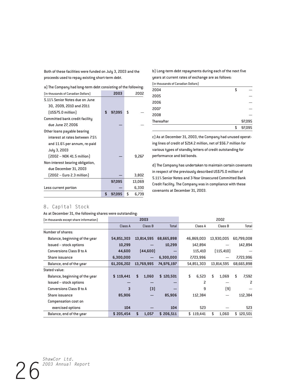Both of these facilities were funded on July 3, 2003 and the proceeds used to repay existing short-term debt.

a) The Company had long-term debt consisting of the following:

| (in thousands of Canadian Dollars) | 2003         | 2002        |
|------------------------------------|--------------|-------------|
| 5.11% Senior Notes due on June     |              |             |
| 30, 2009, 2010 and 2011            |              |             |
| [US\$75.0 million]                 | \$<br>97.095 | \$          |
| Committed bank credit facility     |              |             |
| due June 27, 2006                  |              |             |
| Other loans payable bearing        |              |             |
| interest at rates between 7.5%     |              |             |
| and 11.6% per annum, re-paid       |              |             |
| July 3, 2003                       |              |             |
| $[2002 - N0K 41.5 million]$        |              | 9,267       |
| Non-interest bearing obligation,   |              |             |
| due December 31, 2003              |              |             |
| [2002 – Euro 2.3 million]          |              | 3,802       |
|                                    | 97,095       | 13,069      |
| Less current portion               |              | 6,330       |
|                                    | \$<br>97,095 | \$<br>6,739 |

b) Long-term debt repayments during each of the next five years at current rates of exchange are as follows:

(in thousands of Canadian Dollars)

|            | \$<br>97,095 |
|------------|--------------|
| Thereafter | 97,095       |
| 2008       |              |
| 2007       |              |
| 2006       |              |
| 2005       |              |
| 2004       | \$           |

c) As at December 31, 2003, the Company had unused operating lines of credit of \$214.2 million, net of \$56.7 million for various types of standby letters of credit outstanding for performance and bid bonds.

d) The Company has undertaken to maintain certain covenants in respect of the previously described US\$75.0 million of 5.11% Senior Notes and 3-Year Unsecured Committed Bank Credit Facility. The Company was in compliance with these covenants at December 31, 2003.

# 8. Capital Stock

As at December 31, the following shares were outstanding:

| (in thousands except share information) |            | 2003        |              |             | 2002        |             |
|-----------------------------------------|------------|-------------|--------------|-------------|-------------|-------------|
|                                         | Class A    | Class B     | <b>Total</b> | Class A     | Class B     | Total       |
| Number of shares:                       |            |             |              |             |             |             |
| Balance, beginning of the year          | 54,851,303 | 13,814,595  | 68,665,898   | 46,869,003  | 13,930,005  | 60,799,008  |
| <b>Issued – stock options</b>           | 10,299     |             | 10,299       | 142,894     |             | 142,894     |
| Conversions Class B to A                | 44.600     | [44,600]    |              | 115,410     | [115, 410]  |             |
| Share issuance                          | 6,300,000  |             | 6,300,000    | 7,723,996   |             | 7,723,996   |
| Balance, end of the year                | 61,206,202 | 13,769,995  | 74,976,197   | 54,851,303  | 13,814,595  | 68,665,898  |
| Stated value:                           |            |             |              |             |             |             |
| Balance, beginning of the year          | \$119,441  | 1,060<br>\$ | \$120.501    | \$<br>6,523 | \$<br>1.069 | \$<br>7.592 |
| <b>Issued – stock options</b>           |            |             |              | 2           |             | 2           |
| Conversions Class B to A                | 3          | $[3]$       |              | 9           | (9)         |             |
| Share issuance                          | 85,906     |             | 85,906       | 112,384     |             | 112,384     |
| Compensation cost on                    |            |             |              |             |             |             |
| exercised options                       | 104        |             | 104          | 523         |             | 523         |
| Balance, end of the year                | \$205,454  | 1,057<br>\$ | \$206,511    | \$119,441   | \$<br>1,060 | \$120,501   |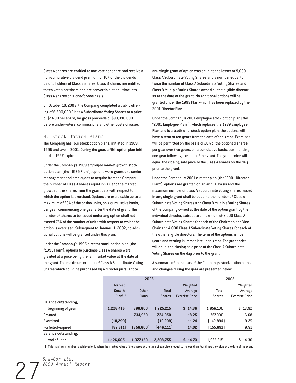Class A shares are entitled to one vote per share and receive a non-cumulative dividend premium of 10% of the dividends paid to holders of Class B shares. Class B shares are entitled to ten votes per share and are convertible at any time into Class A shares on a one-for-one basis.

On October 10, 2003, the Company completed a public offering of 6,300,000 Class A Subordinate Voting Shares at a price of \$14.30 per share, for gross proceeds of \$90,090,000 before underwriters' commissions and other costs of issue.

#### 9. Stock Option Plans

The Company has four stock option plans, initiated in 1989, 1995 and two in 2001. During the year, a fifth option plan initiated in 1997 expired.

Under the Company's 1989 employee market growth stock option plan (the "1989 Plan"), options were granted to senior management and employees to acquire from the Company, the number of Class A shares equal in value to the market growth of the shares from the grant date with respect to which the option is exercised. Options are exercisable up to a maximum of 20% of the option units, on a cumulative basis, per year, commencing one year after the date of grant. The number of shares to be issued under any option shall not exceed 75% of the number of units with respect to which the option is exercised. Subsequent to January 1, 2002, no additional options will be granted under this plan.

Under the Company's 1995 director stock option plan (the "1995 Plan"), options to purchase Class A shares were granted at a price being the fair market value at the date of the grant. The maximum number of Class A Subordinate Voting Shares which could be purchased by a director pursuant to

any single grant of option was equal to the lesser of 9,000 Class A Subordinate Voting Shares and a number equal to twice the number of Class A Subordinate Voting Shares and Class B Multiple Voting Shares owned by the eligible director as at the date of the grant. No additional options will be granted under the 1995 Plan which has been replaced by the 2001 Director Plan.

Under the Company's 2001 employee stock option plan (the "2001 Employee Plan"), which replaces the 1989 Employee Plan and is a traditional stock option plan, the options will have a term of ten years from the date of the grant. Exercises will be permitted on the basis of 20% of the optioned shares per year over five years, on a cumulative basis, commencing one year following the date of the grant. The grant price will equal the closing sale price of the Class A shares on the day prior to the grant.

Under the Company's 2001 director plan (the "2001 Director Plan"), options are granted on an annual basis and the maximum number of Class A Subordinate Voting Shares issued in any single grant shall be equal to the number of Class A Subordinate Voting Shares and Class B Multiple Voting Shares of the Company owned at the date of the option grant by the individual director, subject to a maximum of 8,000 Class A Subordinate Voting Shares for each of the Chairman and Vice Chair and 4,000 Class A Subordinate Voting Shares for each of the other eligible directors. The term of the options is five years and vesting is immediate upon grant. The grant price will equal the closing sale price of the Class A Subordinate Voting Shares on the day prior to the grant.

A summary of the status of the Company's stock option plans and changes during the year are presented below:

|                      |                   | 2003       |               |                       | 2002          |                       |
|----------------------|-------------------|------------|---------------|-----------------------|---------------|-----------------------|
|                      | Market            |            |               | Weighted              |               | Weighted              |
|                      | Growth            | Other      | <b>Total</b>  | Average               | Total         | Average               |
|                      | $Plan{1}$         | Plans      | <b>Shares</b> | <b>Exercise Price</b> | <b>Shares</b> | <b>Exercise Price</b> |
| Balance outstanding, |                   |            |               |                       |               |                       |
| beginning of year    | 1,226,415         | 698,800    | 1,925,215     | \$14,36               | 1,856,100     | \$13.92               |
| Granted              | $\qquad \qquad -$ | 734,950    | 734.950       | 13.25                 | 367,900       | 16.68                 |
| Exercised            | (10, 299)         | —          | [10, 299]     | 11.24                 | [142,894]     | 9.25                  |
| Forfeited/expired    | (89, 511)         | (356, 600) | [446, 111]    | 14.02                 | (155, 891)    | 9.91                  |
| Balance outstanding, |                   |            |               |                       |               |                       |
| end of year          | 1,126,605         | 1,077,150  | 2,203,755     | \$14.73               | 1,925,215     | \$14.36               |

(1) This maximum number is achieved only when the market value of the shares at the time of exercise is equal to no less than four times the value at the date of the grant.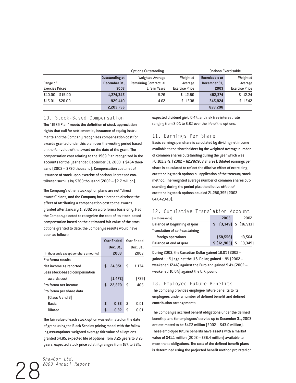|                        |                       | Options Exercisable<br><b>Options Outstanding</b> |                       |                       |                       |
|------------------------|-----------------------|---------------------------------------------------|-----------------------|-----------------------|-----------------------|
|                        | <b>Outstanding at</b> | <b>Weighted Average</b>                           | Weighted              | <b>Exercisable at</b> | Weighted              |
| Range of               | December 31.          | <b>Remaining Contractual</b>                      | Average               | December 31.          | Average               |
| <b>Exercise Prices</b> | 2003                  | Life in Years                                     | <b>Exercise Price</b> | 2003                  | <b>Exercise Price</b> |
| $$10.00 - $15.00$      | 1,274,345             | 5.76                                              | \$12.80               | 482,374               | \$12.24               |
| $$15.01 - $20.00$      | 929.410               | 4.62                                              | \$17.38               | 345.924               | \$17.42               |
|                        | 2,203,755             |                                                   |                       | 828,298               |                       |

### 10. Stock-Based Compensation

The "1989 Plan" meets the definition of stock appreciation rights that call for settlement by issuance of equity instruments and the Company recognizes compensation cost for awards granted under this plan over the vesting period based on the fair value of the award on the date of the grant. The compensation cost relating to the 1989 Plan recognized in the accounts for the year ended December 31, 2003 is \$464 thousand (2002 – \$720 thousand). Compensation cost, net of issuance of stock upon exercise of options, increased contributed surplus by \$360 thousand (2002 – \$2.7 million).

The Company's other stock option plans are not "direct awards" plans, and the Company has elected to disclose the effect of attributing a compensation cost to the awards granted after January 1, 2002 on a pro forma basis only. Had the Company elected to recognize the cost of its stock-based compensation based on the estimated fair value of the stock options granted to date, the Company's results would have been as follows:

|                                         | <b>Year Ended</b> |    | Year Fnded |
|-----------------------------------------|-------------------|----|------------|
|                                         | Dec. 31,          |    | Dec. 31,   |
| (in thousands except per share amounts) | 2003              |    | 2002       |
| Pro forma results                       |                   |    |            |
| Net income as reported                  | \$<br>24.351      | S  | 1,134      |
| Less stock-based compensation           |                   |    |            |
| awards cost                             | [1, 472]          |    | [729]      |
| Pro forma net income                    | \$<br>22,879      | \$ | 405        |
| Pro forma per share data                |                   |    |            |
| [Class A and B]                         |                   |    |            |
| Basic                                   | \$<br>0.33        | \$ | 0.01       |
| <b>Diluted</b>                          | \$<br>0.32        | \$ | N.N1       |

The fair value of each stock option was estimated on the date of grant using the Black-Scholes pricing model with the following assumptions: weighted average fair value of all options granted \$4.85, expected life of options from 3.25 years to 8.25 years, expected stock price volatility ranges from 16% to 38%,

expected dividend yield 0.4%, and risk free interest rate ranging from 3.0% to 5.8% over the life of the options.

### 11. Earnings Per Share

Basic earnings per share is calculated by dividing net income available to the shareholders by the weighted average number of common shares outstanding during the year which was 70,102,279, (2002 – 62,787,908 shares). Diluted earnings per share is calculated to reflect the dilutive effect of exercising outstanding stock options by application of the treasury stock method. The weighted average number of common shares outstanding during the period plus the dilutive effect of outstanding stock options equaled 71,280,395 (2002 – 64,042,410).

## 12. Cumulative Translation Account

| (in thousands)                 | 2003      | 2002                         |
|--------------------------------|-----------|------------------------------|
| Balance at beginning of year   |           | $$$ $[3,349]$ $$$ $[16,913]$ |
| Translation of self-sustaining |           |                              |
| foreign operations             | [58, 556] | 13,564                       |
| Balance at end of year         |           | $$[61,905]$ $$[3,349]$       |

During 2003, the Canadian Dollar gained 18.0% (2002 – gained 1.1%) against the U.S. Dollar, gained 1.9% (2002 – weakened 17.4%) against the Euro and gained 9.4% (2002 – weakened 10.0%) against the U.K. pound.

### 13. Employee Future Benefits

The Company provides employee future benefits to its employees under a number of defined benefit and defined contribution arrangements.

The Company's accrued benefit obligations under the defined benefit plans for employees' service up to December 31, 2003 are estimated to be \$47.2 million (2002 – \$43.0 million). These employee future benefits have assets with a market value of \$41.1 million (2002 – \$36.4 million) available to meet these obligations. The cost of the defined benefit plans is determined using the projected benefit method pro rated on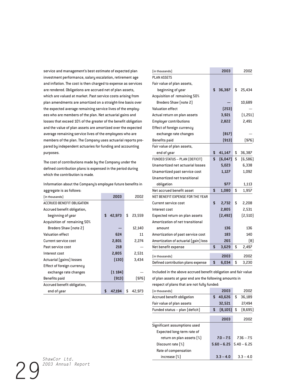service and management's best estimate of expected plan investment performance, salary escalation, retirement age and inflation. The cost is then charged to expense as services are rendered. Obligations are accrued net of plan assets, which are valued at market. Past service costs arising from plan amendments are amortized on a straight-line basis over the expected average remaining service lives of the employees who are members of the plan. Net actuarial gains and losses that exceed 10% of the greater of the benefit obligation and the value of plan assets are amortized over the expected average remaining service lives of the employees who are members of the plan. The Company uses actuarial reports prepared by independent actuaries for funding and accounting purposes.

The cost of contributions made by the Company under the defined contribution plans is expensed in the period during which the contribution is made.

Information about the Company's employee future benefits in aggregate is as follows:

| -bb ->b- -- -- -- --              |              |              |
|-----------------------------------|--------------|--------------|
| (in thousands)                    | 2003         | 2002         |
| <b>ACCRUED BENEFIT OBLIGATION</b> |              |              |
| Accrued benefit obligation,       |              |              |
| beginning of year                 | \$<br>42,973 | \$<br>23,559 |
| Acquisition of remaining 50%      |              |              |
| Bredero Shaw (note 2)             |              | 12,140       |
| <b>Valuation effect</b>           | 624          | 11           |
| Current service cost              | 2,801        | 2,274        |
| Past service cost                 | 218          |              |
| Interest cost                     | 2,805        | 2,531        |
| Actuarial (gains) losses          | (130)        | 3,434        |
| Effect of foreign currency        |              |              |
| exchange rate changes             | (1184)       |              |
| Benefits paid                     | [913]        | (976)        |
| Accrued benefit obligation,       |              |              |
| end of year                       | \$<br>47.194 | \$<br>42,973 |

|                                       | 2003          | 2002           |
|---------------------------------------|---------------|----------------|
| (in thousands)                        |               |                |
| <b>PLAN ASSETS</b>                    |               |                |
| Fair value of plan assets,            |               |                |
| beginning of year                     | \$<br>36,387  | \$<br>25,434   |
| Acquisition of remaining 50%          |               |                |
| Bredero Shaw (note 2)                 |               | 10,689         |
| <b>Valuation effect</b>               | [253]         |                |
| Actual return on plan assets          | 3,921         | (1,251)        |
| <b>Employer contributions</b>         | 2,822         | 2,491          |
| Effect of foreign currency            |               |                |
| exchange rate changes                 | [817]         |                |
| <b>Benefits</b> paid                  | (913)         | (976)          |
| Fair value of plan assets,            |               |                |
| end of year                           | \$<br>41,147  | \$<br>36,387   |
| <b>FUNDED STATUS - PLAN (DEFICIT)</b> | \$<br>(6,047) | \$<br>(6, 586) |
| Unamortized net actuarial losses      | 5,023         | 6,338          |
| Unamortized past service cost         | 1,127         | 1,092          |
| Unamortized net transitional          |               |                |
| obligation                            | 977           | 1,113          |
| Net accrued benefit asset             | \$<br>1,080   | \$<br>1,957    |
| NET BENEFIT EXPENSE FOR THE YEAR      |               |                |
| Current service cost                  | \$<br>2,732   | \$<br>2,208    |
| Interest cost                         | 2,805         | 2,531          |
| Expected return on plan assets        | [2, 492]      | (2, 510)       |
| Amortization of net transitional      |               |                |
| amount                                | 136           | 136            |
| Amortization of past service cost     | 183           | 140            |
| Amortization of actuarial (gain) loss | 265           | [8]            |
| Net benefit expense                   | \$<br>3,629   | \$<br>2,497    |
| (in thousands)                        | 2003          | 2002           |
| Defined contribution plans expense    | \$<br>6,034   | \$<br>3,230    |

Included in the above accrued benefit obligation and fair value of plan assets at year end are the following amounts in respect of plans that are not fully funded:

| (in thousands)                    | 2003           | 2002          |
|-----------------------------------|----------------|---------------|
| <b>Accrued benefit obligation</b> | \$<br>40.626   | \$<br>36.189  |
| Fair value of plan assets         | 32,521         | 27.494        |
| Funded status - plan (deficit)    | \$<br>[8, 105] | \$<br>[8,695] |
|                                   | 2003           | 2002          |
| Significant assumptions used      |                |               |
| Expected long-term rate of        |                |               |
| return on plan assets [%]         | $7.0 - 7.5$    | $7.36 - 7.5$  |
| Discount rate [%]                 | $5.60 - 6.25$  | $5.40 - 6.25$ |
| Rate of compensation              |                |               |
| increase $[%]$                    | $3.3 - 4.0$    | $3.3 - 4.0$   |

29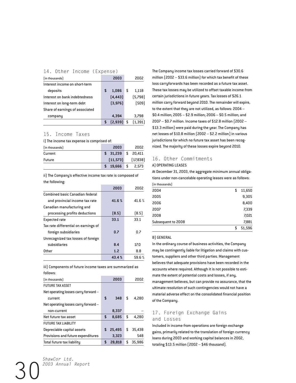| (in thousands)                  |   | 2003     |   | 2002    |
|---------------------------------|---|----------|---|---------|
| Interest income on short-term   |   |          |   |         |
| deposits                        | S | 1.086    | S | 1,118   |
| Interest on bank indebtedness   |   | [4, 443] |   | [5,798] |
| Interest on long-term debt      |   | [3, 976] |   | (509)   |
| Share of earnings of associated |   |          |   |         |
| company                         |   | 4.394    |   | 3,798   |
|                                 |   | [2.939]  | S | (1.391) |

### 15. Income Taxes

i) The income tax expense is comprised of:

| (in thousands) | 2003                | 2002     |
|----------------|---------------------|----------|
| Current        | $$31,239$ $$20,411$ |          |
| <b>Future</b>  | [11, 573]           | [17,838] |
|                | 19.666 \$ 2.573     |          |

ii) The Company's effective income tax rate is composed of the following:

|                                      | 2003  | 2002  |
|--------------------------------------|-------|-------|
| Combined basic Canadian federal      |       |       |
| and provincial income tax rate       | 41.6% | 41.6% |
| Canadian manufacturing and           |       |       |
| processing profits deductions        | [8.5] | [8.5] |
| <b>Expected rate</b>                 | 33.1  | 33.1  |
| Tax rate differential on earnings of |       |       |
| foreign subsidiaries                 | 0.7   | 0.7   |
| Unrecognized tax losses of foreign   |       |       |
| subsidiaries                         | 8.4   | 17.0  |
| Other                                | 1.2   | 8.8   |
|                                      | 43.4% | 59.6% |

iii) Components of future income taxes are summarized as follows:

| (in thousands)                       |    | 2003   | 2002         |
|--------------------------------------|----|--------|--------------|
| <b>FUTURE TAX ASSET</b>              |    |        |              |
| Net operating losses carry forward - |    |        |              |
| current                              | S  | 348    | \$<br>4,280  |
| Net operating losses carry forward - |    |        |              |
| non-current                          |    | 8,337  |              |
| Net future tax asset                 | \$ | 8,685  | \$<br>4,280  |
| <b>FUTURE TAX LIABILITY</b>          |    |        |              |
| Depreciable capital assets           | \$ | 25,495 | \$<br>35,438 |
| Provisions and future expenditures   |    | 3.323  | 548          |
| Total future tax liability           | S  | 28.818 | \$<br>35,986 |

million (2002 – \$33.6 million) for which tax benefit of these loss carryforwards has been recorded as a future tax asset. These tax losses may be utilized to offset taxable income from certain jurisdictions in future years. Tax losses of \$26.1 million carry forward beyond 2010. The remainder will expire, to the extent that they are not utilized, as follows: 2004 – \$0.4 million; 2005 – \$2.9 million; 2006 – \$0.5 million; and 2007 – \$0.7 million. Income taxes of \$12.8 million (2002 – \$13.3 million) were paid during the year. The Company has net losses of \$10.8 million (2002 – \$2.2 million) in various jurisdictions for which no future tax asset has been recognized. The majority of these losses expire beyond 2010.

The Company income tax losses carried forward of \$30.6

# 16. Other Commitments

### A) OPERATING LEASES

At December 31, 2003, the aggregate minimum annual obligations under non-cancelable operating leases were as follows: (in thousands)

| S  | 11,650 |
|----|--------|
|    | 9,305  |
|    | 8,400  |
|    | 7,339  |
|    | 7,021  |
|    | 7,881  |
| \$ | 51,596 |
|    |        |

#### B) GENERAL

In the ordinary course of business activities, the Company may be contingently liable for litigation and claims with customers, suppliers and other third parties. Management believes that adequate provisions have been recorded in the accounts where required. Although it is not possible to estimate the extent of potential costs and losses, if any, management believes, but can provide no assurance, that the ultimate resolution of such contingencies would not have a material adverse effect on the consolidated financial position of the Company.

# 17. Foreign Exchange Gains and Losses

Included in income from operations are foreign exchange gains, primarily related to the translation of foreign currency loans during 2003 and working capital balances in 2002, totaling \$13.5 million (2002 – \$46 thousand).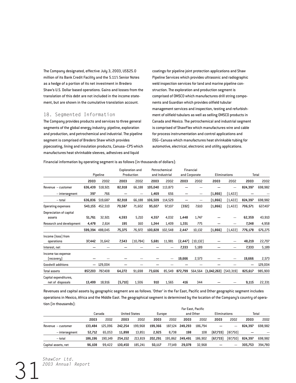The Company designated, effective July 3, 2003, US\$25.0 million of its Bank Credit Facility and the 5.11% Senior Notes as a hedge of a portion of its net investment in Bredero Shaw's U.S. Dollar based operations. Gains and losses from the translation of this debt are not included in the income statement, but are shown in the cumulative translation account.

### 18. Segmented Information

The Company provides products and services to three general segments of the global energy industry: pipeline, exploration and production, and petrochemical and industrial. The pipeline segment is comprised of Bredero Shaw which provides pipecoating, lining and insulation products, Canusa–CPS which manufactures heat shrinkable sleeves, adhesives and liquid

coatings for pipeline joint protection applications and Shaw Pipeline Services which provides ultrasonic and radiographic weld inspection services for land and marine pipeline construction. The exploration and production segment is comprised of OMSCO which manufactures drill string components and Guardian which provides oilfield tubular management services and inspection, testing and refurbishment of oilfield tubulars as well as selling OMSCO products in Canada and Mexico. The petrochemical and industrial segment is comprised of ShawFlex which manufactures wire and cable for process instrumentation and control applications and DSG–Canusa which manufactures heat shrinkable tubing for automotive, electrical, electronic and utility applications.

Financial information by operating segment is as follows (in thousands of dollars):

|                                           | Pipeline |         |         | <b>Exploration and</b><br>Production |         | Petrochemical  |          | Financial     |             |                     |         |         |
|-------------------------------------------|----------|---------|---------|--------------------------------------|---------|----------------|----------|---------------|-------------|---------------------|---------|---------|
|                                           |          |         |         |                                      |         | and Industrial |          | and Corporate |             | <b>Eliminations</b> |         | Total   |
|                                           | 2003     | 2002    | 2003    | 2002                                 | 2003    | 2002           | 2003     | 2002          | 2003        | 2002                | 2003    | 2002    |
| Revenue - customer                        | 636,439  | 518,921 | 82,918  | 66,188                               | 105,040 | 113,873        |          |               |             |                     | 824,397 | 698,982 |
| - intersegment                            | 397      | 766     |         |                                      | 1,469   | 656            | –        |               | (1,866)     | (1, 422)            |         |         |
| - total                                   | 636,836  | 519,687 | 82,918  | 66,188                               | 106,509 | 114,529        |          |               | (1, 866)    | (1, 422)            | 824,397 | 698,982 |
| <b>Operating expenses</b>                 | 543,155  | 452,510 | 70,587  | 71,602                               | 95,027  | 97,107         | (332)    | 7,610         | (1,866)     | [1,422]             | 706,571 | 627,407 |
| Depreciation of capital<br>assets         | 51,761   | 32,921  | 4,593   | 5,210                                | 4,557   | 4,032          | 1,448    | 1,747         |             |                     | 62,359  | 43,910  |
| Research and development                  | 4,478    | 2,614   | 195     | 160                                  | 1,244   | 1,409          | 1,331    | 775           |             |                     | 7,248   | 4,958   |
|                                           | 599,394  | 488,045 | 75,375  | 76,972                               | 100,828 | 102,548        | 2,447    | 10,132        | (1,866)     | (1, 422)            | 776,178 | 676,275 |
| Income (loss) from                        |          |         |         |                                      |         |                |          |               |             |                     |         |         |
| operations                                | 37,442   | 31,642  | 7,543   | (10,784)                             | 5,681   | 11,981         | [2, 447] | (10, 132)     |             |                     | 48,219  | 22,707  |
| Interest, net                             |          |         |         |                                      |         |                | 7,333    | 5,189         |             |                     | 7,333   | 5,189   |
| Income tax expense<br>[recovery]          |          |         |         |                                      |         | —              | 19,666   | 2,573         |             |                     | 19,666  | 2,573   |
| <b>Goodwill additions</b>                 | -        | 129,004 |         |                                      |         |                |          |               |             |                     | -       | 129,004 |
| <b>Total assets</b>                       | 857,203  | 787,408 | 64,272  | 91,698                               | 73,606  | 85,549         | 872,799  | 564,564       | [1,042,263] | [543,319]           | 825,617 | 985,900 |
| Capital expenditures,<br>net of disposals | 13,499   | 18,916  | (5,710) | 1,506                                | 910     | 1,565          | 416      | 344           |             |                     | 9,115   | 22,331  |

Revenues and capital assets by geographic segment are as follows. 'Other' in the Far East, Pacific and Other geographic segment includes operations in Mexico, Africa and the Middle East. The geographical segment is determined by the location of the Company's country of operation (in thousands):

|                     | <b>Far East, Pacific</b> |         |                      |         |         |         |           |         |              |          |              |         |
|---------------------|--------------------------|---------|----------------------|---------|---------|---------|-----------|---------|--------------|----------|--------------|---------|
|                     | Canada                   |         | <b>United States</b> |         | Europe  |         | and Other |         | Eliminations |          | <b>Total</b> |         |
|                     | 2003                     | 2002    | 2003                 | 2002    | 2003    | 2002    | 2003      | 2002    | 2003         | 2002     | 2003         | 2002    |
| Revenue - customer  | 133.484                  | 125.096 | 242.254              | 199.968 | 199.366 | 187.124 | 249.293   | 186.794 |              | -        | 824.397      | 698.982 |
| – intersegment      | 52.712                   | 65.053  | 11.898               | 13.851  | 2.925   | 8.738   | 198       | 108     | (67,733)     | [87,750] |              |         |
| - total             | 186.196                  | 190.149 | 254.152              | 213.819 | 202.291 | 195.862 | 249.491   | 186,902 | (67,733)     | [87,750] | 824.397      | 698.982 |
| Capital assets, net | 96.108                   | 99.422  | 130,450              | 185.241 | 50.117  | 77.149  | 29,078    | 32.968  | -            | -        | 305.753      | 394.780 |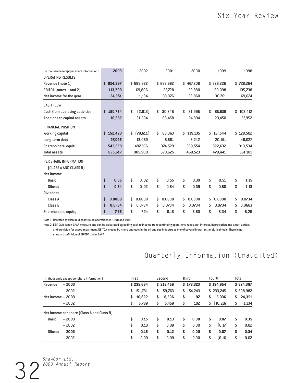| (in thousands except per share information) | 2003          | 2002           | 2001         | 2000         |    | 1999      | 1998          |
|---------------------------------------------|---------------|----------------|--------------|--------------|----|-----------|---------------|
| <b>OPERATING RESULTS</b>                    |               |                |              |              |    |           |               |
| Revenue (note 1)                            | \$824,397     | \$698,982      | \$688,682    | \$467,208    |    | \$528,226 | \$728,264     |
| EBITDA (notes 1 and 2)                      | 113,709       | 69.806         | 87,728       | 59,880       |    | 89,098    | 135,738       |
| Net income for the year                     | 24,351        | 1,134          | 33,376       | 23,860       |    | 30,761    | 69,624        |
| <b>CASH FLOW</b>                            |               |                |              |              |    |           |               |
| Cash from operating activities              | \$<br>150,754 | \$<br>[2,813]  | \$<br>30,346 | \$<br>31,995 | \$ | 85,639    | \$<br>102,412 |
| Additions to capital assets                 | 16,657        | 31,594         | 86,458       | 24,394       |    | 29,450    | 57,952        |
| <b>FINANCIAL POSITION</b>                   |               |                |              |              |    |           |               |
| <b>Working capital</b>                      | \$152,420     | \$<br>[79,611] | \$<br>80,363 | \$119,135    | S  | 127,544   | \$128,502     |
| Long-term debt                              | 97,095        | 13,069         | 8,881        | 3,242        |    | 20,151    | 48,027        |
| Shareholders' equity                        | 543,670       | 497,206        | 374,529      | 339,554      |    | 322,632   | 319,534       |
| <b>Total assets</b>                         | 825,617       | 985,900        | 620,625      | 468,523      |    | 479,441   | 561,181       |
| PER SHARE INFORMATION                       |               |                |              |              |    |           |               |
| (CLASS A AND CLASS B)                       |               |                |              |              |    |           |               |
| Net income                                  |               |                |              |              |    |           |               |
| <b>Basic</b>                                | \$<br>0.35    | \$<br>0.02     | \$<br>0.55   | \$<br>0.39   | \$ | 0.51      | \$<br>1.15    |
| <b>Diluted</b>                              | \$<br>0.34    | \$<br>0.02     | \$<br>0.54   | \$<br>0.39   | \$ | 0.50      | \$<br>1.13    |
| <b>Dividends</b>                            |               |                |              |              |    |           |               |
| Class A                                     | \$<br>0.0808  | \$<br>0.0808   | \$<br>0.0808 | \$<br>0.0808 | \$ | 0.0808    | \$<br>0.0734  |
| Class B                                     | \$<br>0.0734  | \$<br>0.0734   | \$<br>0.0734 | \$<br>0.0734 | \$ | 0.0734    | \$<br>0.0663  |
| Shareholders' equity                        | \$<br>7.25    | \$<br>7.24     | \$<br>6.16   | \$<br>5.60   | \$ | 5.34      | \$<br>5.26    |

Note 1: Restated to exclude discontinued operations in 1998 and 1999.

Note 2: EBITDA is a non-GAAP measure and can be calculated by adding back to income from continuing operations, taxes, net interest, depreciation and amortization, and provision for asset impairment. EBITDA is used by many analysts in the oil and gas industry as one of several important analytical tools. There is no standard definition of EBITDA under GAAP.

# Quarterly Information (Unaudited)

| (in thousands except per share information) | First |           |    | Second    | <b>Third</b> |           | Fourth         | Total     |           |  |
|---------------------------------------------|-------|-----------|----|-----------|--------------|-----------|----------------|-----------|-----------|--|
| $-2003$<br>Revenue                          |       | \$235,664 |    | \$215,456 |              | \$178,323 | \$194.954      | \$824,397 |           |  |
| $-2002$                                     |       | \$151,731 |    | \$159,763 |              | \$154,243 | \$ 233,245     |           | \$698,982 |  |
| Net income $-2003$                          | \$    | 10,622    | \$ | 8,596     | \$           | 97        | \$<br>5,036    | S.        | 24,351    |  |
| $-2002$                                     | \$    | 5,789     | \$ | 5,459     | \$           | 102       | \$<br>[10,216] | \$        | 1,134     |  |
| Net income per share (Class A and Class B)  |       |           |    |           |              |           |                |           |           |  |
| $-2003$<br>Basic                            | \$    | 0.15      | \$ | 0.13      | \$           | 0.00      | \$<br>0.07     | S         | 0.35      |  |
| $-2002$                                     | \$    | 0.10      | \$ | 0.09      | \$           | 0.00      | \$<br>[0.17]   | \$        | 0.02      |  |
| $-2003$<br>Diluted                          | \$    | 0.15      | \$ | 0.12      | \$           | 0.00      | \$<br>0.07     | \$        | 0.34      |  |
| $-2002$                                     | \$    | 0.09      | \$ | 0.09      | \$           | 0.00      | \$<br>[0.16]   | \$        | 0.02      |  |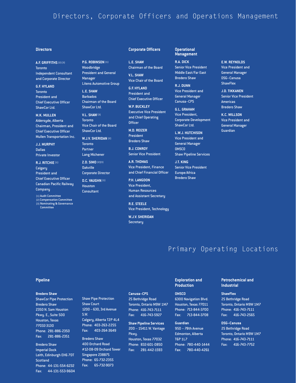# Directors, Corporate Officers and Operations Management

#### **Directors**

**A.F. GRIFFITHS** (2) (3) **Toronto** Independent Consultant and Corporate Director

**G.F. HYLAND Toronto** President and Chief Executive Officer ShawCor Ltd.

**M.K. MULLEN** Aldersyde, Alberta Chairman, President and Chief Executive Officer Mullen Transportation Inc.

**J.J. MURPHY** Dallas Private Investor

**R.J. RITCHIE** (1) Calgary President and Chief Executive Officer Canadian Pacific Railway Company

(1) Audit Committee (2) Compensation Committee (3) Nominating & Governance **P.G. ROBINSON** (1) Woodbridge President and General Manager

**L.E. SHAW** Barbados Chairman of the Board ShawCor Ltd.

Litens Automotive Group

**V.L. SHAW**(3) **Toronto** Vice Chair of the Board

**W.J.V. SHERIDAN** (2) **Toronto** Partner Lang Michener

ShawCor Ltd.

**Z.D. SIMO** (2)(3) Oakville Corporate Director

**D.C. VAUGHN** (1) Houston **Consultant** 

**Committee** 

#### **Corporate Officers**

**L.E. SHAW** Chairman of the Board

**V.L. SHAW** Vice Chair of the Board

**G.F. HYLAND** President and Chief Executive Officer

**W.P. BUCKLEY** Executive Vice President and Chief Operating **Officer** 

**M.D. REIZER** President Bredero Shaw

**B.J. CONROY** Senior Vice President

**A.R. THOMAS** Vice President, Finance and Chief Financial Officer

**P.H. LANGDON** Vice President, Human Resources and Assistant Secretary

**R.E. STEELE** Vice President, Technology

**W.J.V. SHERIDAN Secretary** 

#### **Operational Management**

**R.A. DICK** Senior Vice President Middle East/Far East Bredero Shaw

**R.J. DUNN** Vice President and General Manager Canusa–CPS

**G.L. GRAHAM** Vice President, Corporate Development ShawCor Ltd.

**L.W.J. HUTCHISON** Vice President and General Manager **OMSCO** Shaw Pipeline Services

**J.T. KING** Senior Vice President Europe/Africa Bredero Shaw

**E.W. REYNOLDS** Vice President and General Manager DSG–Canusa **ShawFlex** 

**J.D. TIKKANEN** Senior Vice President Americas Bredero Shaw

**K.C. WILLSON** Vice President and General Manager Guardian

# Primary Operating Locations

#### **Pipeline**

#### **Bredero Shaw**

ShawCor Pipe Protection Bredero Shaw 2350 N. Sam Houston Pkwy. E., Suite 500 Houston, Texas 77032-3130 Phone: 281-886-2350 Fax: 281-886-2351

Bredero Shaw Imperial Dock Leith, Edinburgh EH6 7DT **Scotland** Phone: 44-131-554-6232 Fax: 44-131-553-9604 Shaw Pipe Protection Shaw Court 1200 – 630, 3rd Avenue S.W. Calgary, Alberta T2P 4L4 Phone: 403-263-2255 Fax: 403-264-3649 Bredero Shaw

400 Orchard Road #12-08-09 Orchard Tower Singapore 238875 Phone: 65-732-2355 Fax: 65-732-9073

## **Canusa–CPS**

25 Bethridge Road Toronto, Ontario M9W 1M7 Phone: 416-743-7111 Fax: 416-743-5927

**Shaw Pipeline Services** 200 – 15411 W. Vantage Pkwy. Houston, Texas 77032

Phone: 832-601-0850 Fax: 281-442-1593

#### **Exploration and Production**

#### **OMSCO**

6300 Navigation Blvd. Houston, Texas 77011 Phone: 713-844-3700 Fax: 713-844-3708

#### **Guardian**

950 – 78th Avenue Edmonton, Alberta T6P 1L7 Phone: 780-440-1444 Fax: 780-440-4261

#### **Petrochemical and Industrial**

**ShawFlex** 25 Bethridge Road Toronto, Ontario M9W 1M7 Phone: 416-743-7111 Fax: 416-743-2565

**DSG–Canusa**

25 Bethridge Road Toronto, Ontario M9W 1M7 Phone: 416-743-7111 Fax: 416-743-7752